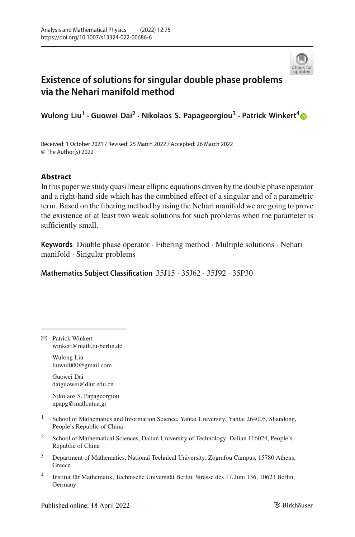

# **Existence of solutions for singular double phase problems via the Nehari manifold method**

**Wulong Liu<sup>1</sup> · Guowei Dai<sup>2</sup> · Nikolaos S. Papageorgiou<sup>3</sup> · Patrick Winkert[4](http://orcid.org/0000-0003-0320-7026)**

Received: 1 October 2021 / Revised: 25 March 2022 / Accepted: 26 March 2022 © The Author(s) 2022

## **Abstract**

In this paper we study quasilinear elliptic equations driven by the double phase operator and a right-hand side which has the combined effect of a singular and of a parametric term. Based on the fibering method by using the Nehari manifold we are going to prove the existence of at least two weak solutions for such problems when the parameter is sufficiently small.

**Keywords** Double phase operator · Fibering method · Multiple solutions · Nehari manifold · Singular problems

## **Mathematics Subject Classification** 35J15 · 35J62 · 35J92 · 35P30

 $\boxtimes$  Patrick Winkert winkert@math.tu-berlin.de

> Wulong Liu liuwul000@gmail.com

Guowei Dai daiguowei@dlut.edu.cn

Nikolaos S. Papageorgiou npapg@math.ntua.gr

- <sup>1</sup> School of Mathematics and Information Science, Yantai University, Yantai 264005, Shandong, People's Republic of China
- <sup>2</sup> School of Mathematical Sciences, Dalian University of Technology, Dalian 116024, People's Republic of China
- <sup>3</sup> Department of Mathematics, National Technical University, Zografou Campus, 15780 Athens, **Greece**
- <sup>4</sup> Institut für Mathematik, Technische Universität Berlin, Strasse des 17. Juni 136, 10623 Berlin, Germany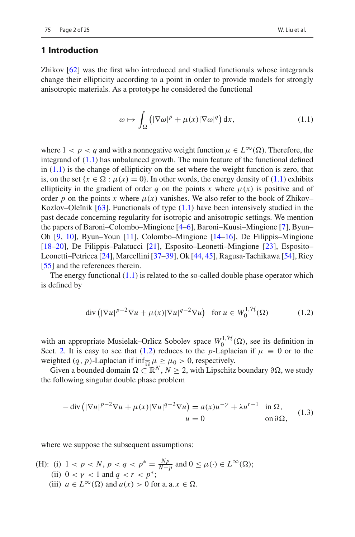#### <span id="page-1-3"></span>**1 Introduction**

Zhikov [\[62\]](#page-24-0) was the first who introduced and studied functionals whose integrands change their ellipticity according to a point in order to provide models for strongly anisotropic materials. As a prototype he considered the functional

<span id="page-1-0"></span>
$$
\omega \mapsto \int_{\Omega} \left( |\nabla \omega|^p + \mu(x) |\nabla \omega|^q \right) dx, \tag{1.1}
$$

where  $1 < p < q$  and with a nonnegative weight function  $\mu \in L^{\infty}(\Omega)$ . Therefore, the integrand of [\(1.1\)](#page-1-0) has unbalanced growth. The main feature of the functional defined in  $(1.1)$  is the change of ellipticity on the set where the weight function is zero, that is, on the set  $\{x \in \Omega : \mu(x) = 0\}$ . In other words, the energy density of [\(1.1\)](#page-1-0) exhibits ellipticity in the gradient of order *q* on the points *x* where  $\mu(x)$  is positive and of order *p* on the points *x* where  $\mu(x)$  vanishes. We also refer to the book of Zhikov– Kozlov–Oleĭnik  $[63]$ . Functionals of type  $(1.1)$  have been intensively studied in the past decade concerning regularity for isotropic and anisotropic settings. We mention the papers of Baroni–Colombo–Mingione [\[4](#page-22-0)[–6](#page-22-1)], Baroni–Kuusi–Mingione [\[7\]](#page-22-2), Byun– Oh [\[9](#page-22-3), [10](#page-22-4)], Byun–Youn [\[11\]](#page-22-5), Colombo–Mingione [\[14](#page-22-6)[–16\]](#page-22-7), De Filippis–Mingione [\[18](#page-22-8)[–20\]](#page-22-9), De Filippis–Palatucci [\[21\]](#page-23-0), Esposito–Leonetti–Mingione [\[23\]](#page-23-1), Esposito– Leonetti–Petricca [\[24](#page-23-2)], Marcellini [\[37](#page-23-3)[–39](#page-23-4)], Ok [\[44,](#page-23-5) [45\]](#page-23-6), Ragusa-Tachikawa [\[54\]](#page-24-2), Riey [\[55](#page-24-3)] and the references therein.

The energy functional  $(1.1)$  is related to the so-called double phase operator which is defined by

<span id="page-1-1"></span>
$$
\operatorname{div}\left(|\nabla u|^{p-2}\nabla u + \mu(x)|\nabla u|^{q-2}\nabla u\right) \quad \text{for } u \in W_0^{1,\mathcal{H}}(\Omega) \tag{1.2}
$$

with an appropriate Musielak–Orlicz Sobolev space  $W_0^{1, H}(\Omega)$ , see its definition in Sect. [2.](#page-3-0) It is easy to see that [\(1.2\)](#page-1-1) reduces to the *p*-Laplacian if  $\mu \equiv 0$  or to the weighted  $(q, p)$ -Laplacian if inf $\overline{\sigma} \mu \ge \mu_0 > 0$ , respectively.

Given a bounded domain  $\Omega \subset \mathbb{R}^N$ ,  $N \geq 2$ , with Lipschitz boundary ∂ $\Omega$ , we study the following singular double phase problem

<span id="page-1-2"></span>
$$
-\operatorname{div}\left(|\nabla u|^{p-2}\nabla u + \mu(x)|\nabla u|^{q-2}\nabla u\right) = a(x)u^{-\gamma} + \lambda u^{r-1} \quad \text{in } \Omega, u = 0 \qquad \text{on } \partial\Omega,
$$
 (1.3)

where we suppose the subsequent assumptions:

(H): (i) 
$$
1 < p < N
$$
,  $p < q < p^* = \frac{Np}{N-p}$  and  $0 \leq \mu(\cdot) \in L^\infty(\Omega)$ ; (ii)  $0 < \gamma < 1$  and  $q < r < p^*$ ; (iii)  $a \in L^\infty(\Omega)$  and  $a(x) > 0$  for a.a.  $x \in \Omega$ .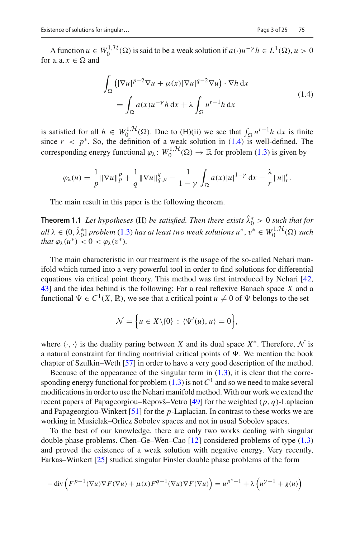A function  $u \in W_0^{1, \mathcal{H}}(\Omega)$  is said to be a weak solution if  $a(\cdot)u^{-\gamma}h \in L^1(\Omega)$ ,  $u > 0$ for a. a.  $x \in \Omega$  and

<span id="page-2-0"></span>
$$
\int_{\Omega} \left( |\nabla u|^{p-2} \nabla u + \mu(x) |\nabla u|^{q-2} \nabla u \right) \cdot \nabla h \, dx
$$
\n
$$
= \int_{\Omega} a(x) u^{-\gamma} h \, dx + \lambda \int_{\Omega} u^{r-1} h \, dx \tag{1.4}
$$

is satisfied for all  $h \in W_0^{1,1}(\Omega)$ . Due to (H)(ii) we see that  $\int_{\Omega} u^{r-1} h \, dx$  is finite since  $r < p^*$ . So, the definition of a weak solution in  $(1.4)$  is well-defined. The corresponding energy functional  $\varphi_{\lambda} : W_0^{1,\mathcal{H}}(\Omega) \to \mathbb{R}$  for problem [\(1.3\)](#page-1-2) is given by

$$
\varphi_{\lambda}(u) = \frac{1}{p} \|\nabla u\|_{p}^{p} + \frac{1}{q} \|\nabla u\|_{q,\mu}^{q} - \frac{1}{1-\gamma} \int_{\Omega} a(x)|u|^{1-\gamma} dx - \frac{\lambda}{r} \|u\|_{r}^{r}.
$$

<span id="page-2-1"></span>The main result in this paper is the following theorem.

**Theorem 1.1** *Let hypotheses* (H) *be satisfied. Then there exists*  $\lambda_0^* > 0$  *such that for*  $all \lambda \in (0, \hat{\lambda}_0^*]$  *problem* [\(1.3\)](#page-1-2) *has at least two weak solutions*  $u^*, v^* \in W_0^{1,1}(\Omega)$  *such that*  $\varphi_{\lambda}(u^*) < 0 < \varphi_{\lambda}(v^*)$ *.* 

The main characteristic in our treatment is the usage of the so-called Nehari manifold which turned into a very powerful tool in order to find solutions for differential equations via critical point theory. This method was first introduced by Nehari [\[42,](#page-23-7) [43\]](#page-23-8) and the idea behind is the following: For a real reflexive Banach space *X* and a functional  $\Psi \in C^1(X, \mathbb{R})$ , we see that a critical point  $u \neq 0$  of  $\Psi$  belongs to the set

$$
\mathcal{N} = \left\{ u \in X \backslash \{0\} : \langle \Psi'(u), u \rangle = 0 \right\},\
$$

where  $\langle \cdot, \cdot \rangle$  is the duality paring between *X* and its dual space *X*<sup>\*</sup>. Therefore, *N* is a natural constraint for finding nontrivial critical points of  $\Psi$ . We mention the book chapter of Szulkin–Weth [\[57\]](#page-24-4) in order to have a very good description of the method.

Because of the appearance of the singular term in  $(1.3)$ , it is clear that the corresponding energy functional for problem  $(1.3)$  is not  $C<sup>1</sup>$  and so we need to make several modifications in order to use the Nehari manifold method. With our work we extend the recent papers of Papageorgiou–Repovš–Vetro [\[49\]](#page-23-9) for the weighted (*p*, *q*)-Laplacian and Papageorgiou-Winkert [\[51](#page-24-5)] for the *p*-Laplacian. In contrast to these works we are working in Musielak–Orlicz Sobolev spaces and not in usual Sobolev spaces.

To the best of our knowledge, there are only two works dealing with singular double phase problems. Chen–Ge–Wen–Cao [\[12](#page-22-10)] considered problems of type [\(1.3\)](#page-1-2) and proved the existence of a weak solution with negative energy. Very recently, Farkas–Winkert [\[25](#page-23-10)] studied singular Finsler double phase problems of the form

$$
- \operatorname{div} \left( F^{p-1}(\nabla u) \nabla F(\nabla u) + \mu(x) F^{q-1}(\nabla u) \nabla F(\nabla u) \right) = u^{p^* - 1} + \lambda \left( u^{\gamma - 1} + g(u) \right)
$$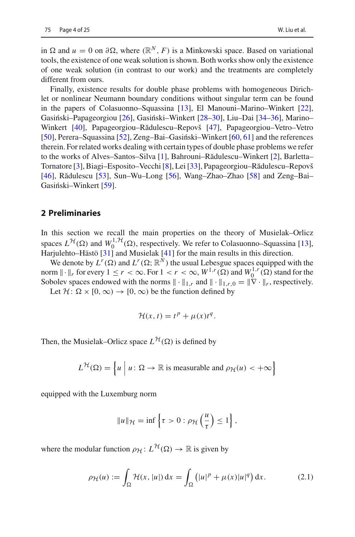in  $\Omega$  and  $u = 0$  on  $\partial \Omega$ , where ( $\mathbb{R}^{N}$ , *F*) is a Minkowski space. Based on variational tools, the existence of one weak solution is shown. Both works show only the existence of one weak solution (in contrast to our work) and the treatments are completely different from ours.

Finally, existence results for double phase problems with homogeneous Dirichlet or nonlinear Neumann boundary conditions without singular term can be found in the papers of Colasuonno–Squassina [\[13](#page-22-11)], El Manouni–Marino–Winkert [\[22](#page-23-11)], Gasiński–Papageorgiou [\[26](#page-23-12)], Gasiński–Winkert [\[28](#page-23-13)[–30\]](#page-23-14), Liu–Dai [\[34](#page-23-15)[–36](#page-23-16)], Marino– Winkert [\[40](#page-23-17)], Papageorgiou–Rădulescu–Repovš [\[47\]](#page-23-18), Papageorgiou–Vetro–Vetro [\[50](#page-23-19)], Perera–Squassina [\[52](#page-24-6)], Zeng–Bai–Gasiński–Winkert [\[60,](#page-24-7) [61](#page-24-8)] and the references therein. For related works dealing with certain types of double phase problems we refer to the works of Alves–Santos–Silva [\[1\]](#page-22-12), Bahrouni–Rădulescu–Winkert [\[2](#page-22-13)], Barletta– Tornatore [\[3](#page-22-14)], Biagi–Esposito–Vecchi [\[8](#page-22-15)], Lei [\[33\]](#page-23-20), Papageorgiou–Rădulescu–Repovš [\[46](#page-23-21)], Rădulescu [\[53\]](#page-24-9), Sun–Wu–Long [\[56\]](#page-24-10), Wang–Zhao–Zhao [\[58\]](#page-24-11) and Zeng–Bai– Gasiński–Winkert [\[59\]](#page-24-12).

#### <span id="page-3-0"></span>**2 Preliminaries**

In this section we recall the main properties on the theory of Musielak–Orlicz spaces  $L^{\mathcal{H}}(\Omega)$  and  $W_0^{1,\mathcal{H}}(\Omega)$ , respectively. We refer to Colasuonno–Squassina [\[13](#page-22-11)], Harjulehto–Hästö [\[31](#page-23-22)] and Musielak [\[41\]](#page-23-23) for the main results in this direction.

We denote by  $L^r(\Omega)$  and  $L^r(\Omega; \mathbb{R}^N)$  the usual Lebesgue spaces equipped with the norm  $\|\cdot\|_r$  for every  $1 \leq r < \infty$ . For  $1 < r < \infty$ ,  $W^{1,r}(\Omega)$  and  $W_0^{1,r}(\Omega)$  stand for the Sobolev spaces endowed with the norms  $\|\cdot\|_{1,r}$  and  $\|\cdot\|_{1,r,0} = \|\nabla \cdot\|_r$ , respectively.

Let  $H: \Omega \times [0, \infty) \rightarrow [0, \infty)$  be the function defined by

$$
\mathcal{H}(x,t) = t^p + \mu(x)t^q.
$$

Then, the Musielak–Orlicz space  $L^{\mathcal{H}}(\Omega)$  is defined by

$$
L^{\mathcal{H}}(\Omega) = \left\{ u \mid u : \Omega \to \mathbb{R} \text{ is measurable and } \rho_{\mathcal{H}}(u) < +\infty \right\}
$$

equipped with the Luxemburg norm

<span id="page-3-1"></span>
$$
||u||_{\mathcal{H}} = \inf \left\{ \tau > 0 : \rho_{\mathcal{H}} \left( \frac{u}{\tau} \right) \leq 1 \right\},\
$$

where the modular function  $\rho_H: L^{\mathcal{H}}(\Omega) \to \mathbb{R}$  is given by

$$
\rho_{\mathcal{H}}(u) := \int_{\Omega} \mathcal{H}(x, |u|) dx = \int_{\Omega} (|u|^p + \mu(x)|u|^q) dx.
$$
 (2.1)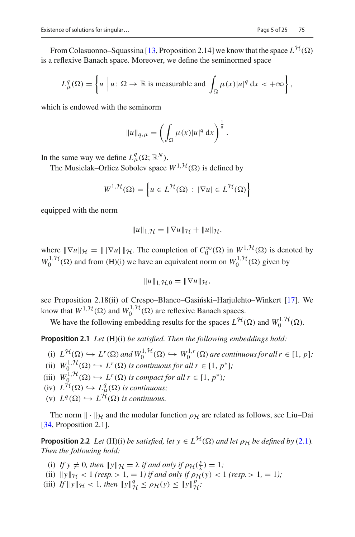$$
L^q_\mu(\Omega) = \left\{ u \mid u \colon \Omega \to \mathbb{R} \text{ is measurable and } \int_{\Omega} \mu(x) |u|^q \, \mathrm{d}x < +\infty \right\},
$$

which is endowed with the seminorm

$$
||u||_{q,\mu} = \left(\int_{\Omega} \mu(x)|u|^q dx\right)^{\frac{1}{q}}.
$$

In the same way we define  $L^q_\mu(\Omega; \mathbb{R}^N)$ .

The Musielak–Orlicz Sobolev space  $W^{1, \mathcal{H}}(\Omega)$  is defined by

$$
W^{1,\mathcal{H}}(\Omega) = \left\{ u \in L^{\mathcal{H}}(\Omega) : |\nabla u| \in L^{\mathcal{H}}(\Omega) \right\}
$$

equipped with the norm

$$
||u||_{1,\mathcal{H}} = ||\nabla u||_{\mathcal{H}} + ||u||_{\mathcal{H}},
$$

where  $\|\nabla u\|_{\mathcal{H}} = \|\nabla u\|_{\mathcal{H}}$ . The completion of  $C_0^{\infty}(\Omega)$  in  $W^{1,\mathcal{H}}(\Omega)$  is denoted by  $W_0^{1, \mathcal{H}}(\Omega)$  and from (H)(i) we have an equivalent norm on  $W_0^{1, \mathcal{H}}(\Omega)$  given by

$$
||u||_{1,\mathcal{H},0}=||\nabla u||_{\mathcal{H}},
$$

see Proposition 2.18(ii) of Crespo–Blanco–Gasiński–Harjulehto–Winkert [\[17](#page-22-16)]. We know that  $W^{1, H}(\Omega)$  and  $W_0^{1, H}(\Omega)$  are reflexive Banach spaces.

<span id="page-4-1"></span>We have the following embedding results for the spaces  $L^{\mathcal{H}}(\Omega)$  and  $W_0^{1,\mathcal{H}}(\Omega)$ .

**Proposition 2.1** *Let* (H)(i) *be satisfied. Then the following embeddings hold:*

(i) 
$$
L^{\mathcal{H}}(\Omega) \hookrightarrow L^{r}(\Omega)
$$
 and  $W_0^{1,\mathcal{H}}(\Omega) \hookrightarrow W_0^{1,r}(\Omega)$  are continuous for all  $r \in [1, p]$ ;

- (ii)  $W_0^{1,\mathcal{H}}(\Omega) \hookrightarrow L^r(\Omega)$  *is continuous for all*  $r \in [1, p^*]$ *;*
- (iii)  $W_0^{1,\mathcal{H}}(\Omega) \hookrightarrow L^r(\Omega)$  *is compact for all*  $r \in [1, p^*);$
- $(iv) L^{\tilde{\mathcal{H}}}(\Omega) \hookrightarrow L_{\mu}^{q}(\Omega)$  *is continuous;*
- (v)  $L^q(\Omega) \hookrightarrow L^{\mathcal{H}}(\Omega)$  *is continuous.*

<span id="page-4-0"></span>The norm  $\|\cdot\|_{\mathcal{H}}$  and the modular function  $\rho_{\mathcal{H}}$  are related as follows, see Liu–Dai [\[34](#page-23-15), Proposition 2.1].

**Proposition 2.2** *Let* (H)(i) *be satisfied, let*  $y \in L^{\mathcal{H}}(\Omega)$  *and let*  $\rho_{\mathcal{H}}$  *be defined by* [\(2.1\)](#page-3-1)*. Then the following hold:*

- (i) If  $y \neq 0$ , then  $||y||_{\mathcal{H}} = \lambda$  if and only if  $\rho_{\mathcal{H}}(\frac{y}{\lambda}) = 1$ ;
- (ii)  $||y||_{\mathcal{H}} < 1$  (resp. > 1, = 1) if and only if  $\rho_{\mathcal{H}}(y) < 1$  (resp. > 1, = 1);
- $||\hat{f}|| ||y||_{\mathcal{H}}$  < 1, then  $||y||_{\mathcal{H}}^q \le \rho_{\mathcal{H}}(y) \le ||y||_{\mathcal{H}}^p$ ;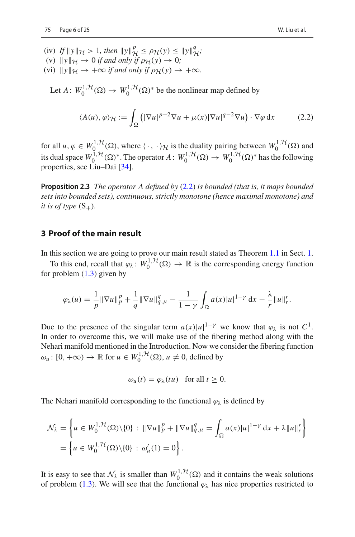- $(v)$   $\|y\|_{\mathcal{H}} \to 0$  *if and only if*  $\rho_{\mathcal{H}}(y) \to 0$ *;*
- (vi)  $\|y\|_{\mathcal{H}} \to +\infty$  *if and only if*  $\rho_{\mathcal{H}}(y) \to +\infty$ *.*

Let  $A: W_0^{1, H}(\Omega) \to W_0^{1, H}(\Omega)^*$  be the nonlinear map defined by

<span id="page-5-0"></span>
$$
\langle A(u), \varphi \rangle_{\mathcal{H}} := \int_{\Omega} \left( |\nabla u|^{p-2} \nabla u + \mu(x) |\nabla u|^{q-2} \nabla u \right) \cdot \nabla \varphi \, \mathrm{d}x \tag{2.2}
$$

for all  $u, \varphi \in W_0^{1,\mathcal{H}}(\Omega)$ , where  $\langle \cdot, \cdot \rangle_{\mathcal{H}}$  is the duality pairing between  $W_0^{1,\mathcal{H}}(\Omega)$  and its dual space  $W_0^{1, H}(\Omega)^*$ . The operator  $A: W_0^{1, H}(\Omega) \to W_0^{1, H}(\Omega)^*$  has the following properties, see Liu–Dai [\[34\]](#page-23-15).

**Proposition 2.3** *The operator A defined by* [\(2.2\)](#page-5-0) *is bounded (that is, it maps bounded sets into bounded sets), continuous, strictly monotone (hence maximal monotone) and it is of type*  $(S_+)$ *.* 

### **3 Proof of the main result**

In this section we are going to prove our main result stated as Theorem [1.1](#page-2-1) in Sect. [1.](#page-1-3)

To this end, recall that  $\varphi_{\lambda} : W_0^{1,\mathcal{H}}(\Omega) \to \mathbb{R}$  is the corresponding energy function for problem  $(1.3)$  given by

$$
\varphi_{\lambda}(u) = \frac{1}{p} \|\nabla u\|_{p}^{p} + \frac{1}{q} \|\nabla u\|_{q,\mu}^{q} - \frac{1}{1-\gamma} \int_{\Omega} a(x)|u|^{1-\gamma} dx - \frac{\lambda}{r} \|u\|_{r}^{r}.
$$

Due to the presence of the singular term  $a(x)|u|^{1-\gamma}$  we know that  $\varphi_{\lambda}$  is not  $C^1$ . In order to overcome this, we will make use of the fibering method along with the Nehari manifold mentioned in the Introduction. Now we consider the fibering function  $\omega_u: [0, +\infty) \to \mathbb{R}$  for  $u \in W_0^{1, \mathcal{H}}(\Omega)$ ,  $u \neq 0$ , defined by

$$
\omega_u(t) = \varphi_\lambda(tu) \quad \text{for all } t \ge 0.
$$

The Nehari manifold corresponding to the functional  $\varphi_{\lambda}$  is defined by

$$
\mathcal{N}_{\lambda} = \left\{ u \in W_0^{1, \mathcal{H}}(\Omega) \setminus \{0\} : \|\nabla u\|_p^p + \|\nabla u\|_{q, \mu}^q = \int_{\Omega} a(x)|u|^{1-\gamma} dx + \lambda \|u\|_r^r \right\}
$$

$$
= \left\{ u \in W_0^{1, \mathcal{H}}(\Omega) \setminus \{0\} : \omega_u'(1) = 0 \right\}.
$$

It is easy to see that  $\mathcal{N}_{\lambda}$  is smaller than  $W_0^{1,\mathcal{H}}(\Omega)$  and it contains the weak solutions of problem [\(1.3\)](#page-1-2). We will see that the functional  $\varphi_{\lambda}$  has nice properties restricted to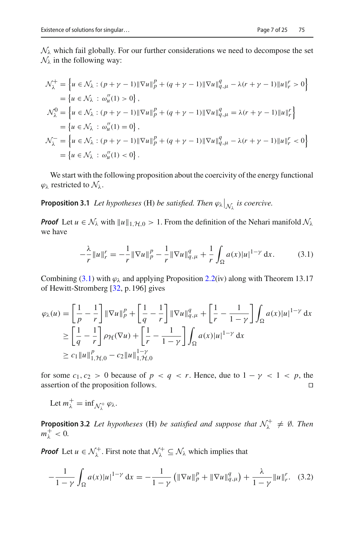$\mathcal{N}_{\lambda}$  which fail globally. For our further considerations we need to decompose the set  $\mathcal{N}_{\lambda}$  in the following way:

$$
\mathcal{N}_{\lambda}^{+} = \left\{ u \in \mathcal{N}_{\lambda} : (p + \gamma - 1) \|\nabla u\|_{p}^{p} + (q + \gamma - 1) \|\nabla u\|_{q,\mu}^{q} - \lambda (r + \gamma - 1) \|u\|_{r}^{r} > 0 \right\}
$$
  
\n
$$
= \left\{ u \in \mathcal{N}_{\lambda} : \omega_{u}''(1) > 0 \right\},
$$
  
\n
$$
\mathcal{N}_{\lambda}^{0} = \left\{ u \in \mathcal{N}_{\lambda} : (p + \gamma - 1) \|\nabla u\|_{p}^{p} + (q + \gamma - 1) \|\nabla u\|_{q,\mu}^{q} = \lambda (r + \gamma - 1) \|u\|_{r}^{r} \right\}
$$
  
\n
$$
= \left\{ u \in \mathcal{N}_{\lambda} : \omega_{u}''(1) = 0 \right\},
$$
  
\n
$$
\mathcal{N}_{\lambda}^{-} = \left\{ u \in \mathcal{N}_{\lambda} : (p + \gamma - 1) \|\nabla u\|_{p}^{p} + (q + \gamma - 1) \|\nabla u\|_{q,\mu}^{q} - \lambda (r + \gamma - 1) \|u\|_{r}^{r} < 0 \right\}
$$
  
\n
$$
= \left\{ u \in \mathcal{N}_{\lambda} : \omega_{u}''(1) < 0 \right\}.
$$

<span id="page-6-2"></span>We start with the following proposition about the coercivity of the energy functional  $\varphi_{\lambda}$  restricted to  $\mathcal{N}_{\lambda}$ .

**Proposition 3.1** Let hypotheses (H) be satisfied. Then  $\varphi_{\lambda}|_{\mathcal{N}_{\lambda}}$  is coercive.

*Proof* Let  $u \in \mathcal{N}_{\lambda}$  with  $||u||_{1,\mathcal{H},0} > 1$ . From the definition of the Nehari manifold  $\mathcal{N}_{\lambda}$ we have

<span id="page-6-0"></span>
$$
-\frac{\lambda}{r}||u||_r^r = -\frac{1}{r}||\nabla u||_p^p - \frac{1}{r}||\nabla u||_{q,\mu}^q + \frac{1}{r}\int_{\Omega}a(x)|u|^{1-\gamma} dx.
$$
 (3.1)

Combining [\(3.1\)](#page-6-0) with  $\varphi_{\lambda}$  and applying Proposition [2.2\(](#page-4-0)iv) along with Theorem 13.17 of Hewitt-Stromberg [\[32](#page-23-24), p. 196] gives

$$
\varphi_{\lambda}(u) = \left[\frac{1}{p} - \frac{1}{r}\right] \|\nabla u\|_{p}^{p} + \left[\frac{1}{q} - \frac{1}{r}\right] \|\nabla u\|_{q,\mu}^{q} + \left[\frac{1}{r} - \frac{1}{1-\gamma}\right] \int_{\Omega} a(x)|u|^{1-\gamma} dx
$$
  
\n
$$
\geq \left[\frac{1}{q} - \frac{1}{r}\right] \rho_{\mathcal{H}}(\nabla u) + \left[\frac{1}{r} - \frac{1}{1-\gamma}\right] \int_{\Omega} a(x)|u|^{1-\gamma} dx
$$
  
\n
$$
\geq c_1 \|u\|_{1,\mathcal{H},0}^p - c_2 \|u\|_{1,\mathcal{H},0}^{1-\gamma}
$$

for some  $c_1, c_2 > 0$  because of  $p < q < r$ . Hence, due to  $1 - \gamma < 1 < p$ , the assertion of the proposition follows.

<span id="page-6-3"></span>Let  $m_{\lambda}^+$  = inf<sub> $\mathcal{N}_{\lambda}^+$ </sub>  $\varphi_{\lambda}$ .

**Proposition 3.2** Let hypotheses (H) be satisfied and suppose that  $\mathcal{N}^+_{\lambda} \neq \emptyset$ . Then  $m_{\lambda}^{+} < 0.$ 

*Proof* Let  $u \in \mathcal{N}_{\lambda}^+$ . First note that  $\mathcal{N}_{\lambda}^+ \subseteq \mathcal{N}_{\lambda}$  which implies that

<span id="page-6-1"></span>
$$
-\frac{1}{1-\gamma} \int_{\Omega} a(x)|u|^{1-\gamma} dx = -\frac{1}{1-\gamma} \left( \|\nabla u\|_{p}^{p} + \|\nabla u\|_{q,\mu}^{q} \right) + \frac{\lambda}{1-\gamma} \|u\|_{r}^{r}.
$$
 (3.2)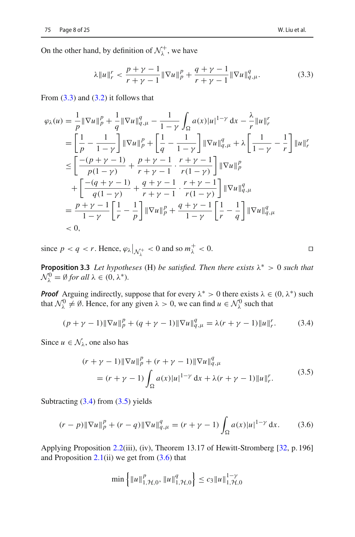On the other hand, by definition of  $\mathcal{N}_{\lambda}^{+}$ , we have

<span id="page-7-0"></span>
$$
\lambda \|u\|_{r}^{r} < \frac{p+\gamma-1}{r+\gamma-1} \|\nabla u\|_{p}^{p} + \frac{q+\gamma-1}{r+\gamma-1} \|\nabla u\|_{q,\mu}^{q}.\tag{3.3}
$$

From  $(3.3)$  and  $(3.2)$  it follows that

$$
\varphi_{\lambda}(u) = \frac{1}{p} \|\nabla u\|_{p}^{p} + \frac{1}{q} \|\nabla u\|_{q,\mu}^{q} - \frac{1}{1-\gamma} \int_{\Omega} a(x)|u|^{1-\gamma} dx - \frac{\lambda}{r} \|u\|_{r}^{r}
$$
  
\n
$$
= \left[\frac{1}{p} - \frac{1}{1-\gamma}\right] \|\nabla u\|_{p}^{p} + \left[\frac{1}{q} - \frac{1}{1-\gamma}\right] \|\nabla u\|_{q,\mu}^{q} + \lambda \left[\frac{1}{1-\gamma} - \frac{1}{r}\right] \|u\|_{r}^{r}
$$
  
\n
$$
\leq \left[\frac{-(p+\gamma-1)}{p(1-\gamma)} + \frac{p+\gamma-1}{r+\gamma-1} \cdot \frac{r+\gamma-1}{r(1-\gamma)}\right] \|\nabla u\|_{p}^{p}
$$
  
\n
$$
+ \left[\frac{-(q+\gamma-1)}{q(1-\gamma)} + \frac{q+\gamma-1}{r+\gamma-1} \cdot \frac{r+\gamma-1}{r(1-\gamma)}\right] \|\nabla u\|_{q,\mu}^{q}
$$
  
\n
$$
= \frac{p+\gamma-1}{1-\gamma} \left[\frac{1}{r} - \frac{1}{p}\right] \|\nabla u\|_{p}^{p} + \frac{q+\gamma-1}{1-\gamma} \left[\frac{1}{r} - \frac{1}{q}\right] \|\nabla u\|_{q,\mu}^{q}
$$
  
\n
$$
< 0,
$$

since  $p < q < r$ . Hence,  $\varphi_{\lambda}|_{\mathcal{N}_{\lambda}^{+}} < 0$  and so  $m_{\lambda}^{+} < 0$ .

<span id="page-7-4"></span>**Proposition 3.3** *Let hypotheses* (H) *be satisfied. Then there exists*  $\lambda^* > 0$  *such that*  $\mathcal{N}_{\lambda}^{0} = \emptyset$  *for all*  $\lambda \in (0, \lambda^*)$ *.* 

*Proof* Arguing indirectly, suppose that for every  $\lambda^* > 0$  there exists  $\lambda \in (0, \lambda^*)$  such that  $\mathcal{N}_{\lambda}^0 \neq \emptyset$ . Hence, for any given  $\lambda > 0$ , we can find  $u \in \mathcal{N}_{\lambda}^0$  such that

$$
(p + \gamma - 1) \|\nabla u\|_p^p + (q + \gamma - 1) \|\nabla u\|_{q,\mu}^q = \lambda (r + \gamma - 1) \|u\|_r^r. \tag{3.4}
$$

Since  $u \in \mathcal{N}_{\lambda}$ , one also has

<span id="page-7-2"></span><span id="page-7-1"></span>
$$
(r + \gamma - 1) \|\nabla u\|_p^p + (r + \gamma - 1) \|\nabla u\|_{q,\mu}^q
$$
  
=  $(r + \gamma - 1) \int_{\Omega} a(x) |u|^{1-\gamma} dx + \lambda (r + \gamma - 1) \|u\|_r^r.$  (3.5)

Subtracting [\(3.4\)](#page-7-1) from [\(3.5\)](#page-7-2) yields

$$
(r-p)\|\nabla u\|_{p}^{p} + (r-q)\|\nabla u\|_{q,\mu}^{q} = (r+\gamma-1)\int_{\Omega}a(x)|u|^{1-\gamma} dx.
$$
 (3.6)

Applying Proposition [2.2\(](#page-4-0)iii), (iv), Theorem 13.17 of Hewitt-Stromberg [\[32,](#page-23-24) p. 196] and Proposition  $2.1(ii)$  $2.1(ii)$  we get from  $(3.6)$  that

<span id="page-7-3"></span>
$$
\min\left\{\|u\|_{1,\mathcal{H},0}^p,\|u\|_{1,\mathcal{H},0}^q\right\}\leq c_3\|u\|_{1,\mathcal{H},0}^{1-\gamma}
$$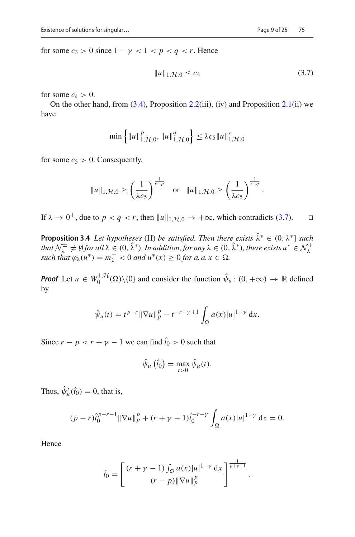<span id="page-8-0"></span>
$$
\|u\|_{1,\mathcal{H},0} \le c_4 \tag{3.7}
$$

for some  $c_4 > 0$ .

On the other hand, from  $(3.4)$ , Proposition [2.2\(](#page-4-0)iii), (iv) and Proposition [2.1\(](#page-4-1)ii) we have

$$
\min \left\{ \|u\|_{1,\mathcal{H},0}^p, \|u\|_{1,\mathcal{H},0}^q \right\} \leq \lambda c_5 \|u\|_{1,\mathcal{H},0}^r
$$

for some  $c_5 > 0$ . Consequently,

$$
||u||_{1,\mathcal{H},0} \geq \left(\frac{1}{\lambda c_5}\right)^{\frac{1}{r-p}} \quad \text{or} \quad ||u||_{1,\mathcal{H},0} \geq \left(\frac{1}{\lambda c_5}\right)^{\frac{1}{r-q}}.
$$

If  $\lambda \to 0^+$ , due to  $p < q < r$ , then  $||u||_{1, \mathcal{H},0} \to +\infty$ , which contradicts [\(3.7\)](#page-8-0).

<span id="page-8-1"></span>**Proposition 3.4** *Let hypotheses* (H) *be satisfied. Then there exists*  $\hat{\lambda}^* \in (0, \lambda^*]$  *such* that  $\mathcal{N}_{\lambda}^{\pm} \neq \emptyset$  for all  $\lambda \in (0, \lambda^*)$ . In addition, for any  $\lambda \in (0, \lambda^*)$ , there exists  $u^* \in \mathcal{N}_{\lambda}^+$ <br>such that  $\varphi_{\lambda}(u^*) = m_{\lambda}^+ < 0$  and  $u^*(x) \geq 0$  for a. a.  $x \in \Omega$ .

*Proof* Let  $u \in W_0^{1, H}(\Omega) \setminus \{0\}$  and consider the function  $\hat{\psi}_u : (0, +\infty) \to \mathbb{R}$  defined by

$$
\hat{\psi}_u(t) = t^{p-r} \|\nabla u\|_p^p - t^{-r-\gamma+1} \int_{\Omega} a(x) |u|^{1-\gamma} dx.
$$

Since  $r - p < r + \gamma - 1$  we can find  $\hat{t}_0 > 0$  such that

$$
\hat{\psi}_u\left(\hat{t}_0\right) = \max_{t>0} \hat{\psi}_u(t).
$$

Thus,  $\psi'_u(\hat{t}_0) = 0$ , that is,

$$
(p-r)\hat{t}_0^{p-r-1} \|\nabla u\|_p^p + (r+\gamma-1)\hat{t}_0^{-r-\gamma} \int_{\Omega} a(x)|u|^{1-\gamma} dx = 0.
$$

Hence

$$
\hat{t}_0 = \left[ \frac{(r + \gamma - 1) \int_{\Omega} a(x) |u|^{1 - \gamma} dx}{(r - p) \| \nabla u \|_p^p} \right]^{\frac{1}{p + \gamma - 1}}
$$

.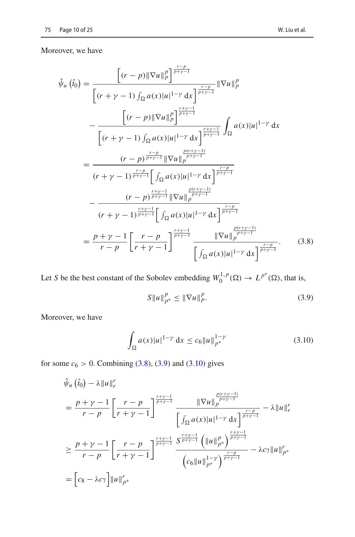Moreover, we have

$$
\hat{\psi}_{u}(\hat{t}_{0}) = \frac{\left[ (r-p) \|\nabla u\|_{p}^{p} \right]^{\frac{r-p}{p+\gamma-1}}}{\left[ (r+\gamma-1) \int_{\Omega} a(x)|u|^{1-\gamma} dx \right]^{\frac{r-p}{p+\gamma-1}}} \|\nabla u\|_{p}^{p}
$$
\n
$$
-\frac{\left[ (r-p) \|\nabla u\|_{p}^{p} \right]^{\frac{r+\gamma-1}{p+\gamma-1}}}{\left[ (r+\gamma-1) \int_{\Omega} a(x)|u|^{1-\gamma} dx \right]^{\frac{r+\gamma-1}{p+\gamma-1}}} \int_{\Omega} a(x)|u|^{1-\gamma} dx
$$
\n
$$
=\frac{(r-p)^{\frac{r-p}{p+\gamma-1}} \|\nabla u\|_{p}^{\frac{p(r+\gamma-1)}{p+\gamma-1}}}{\left[ (\gamma+\gamma-1)^{\frac{r-p}{p+\gamma-1}} \left[ \int_{\Omega} a(x)|u|^{1-\gamma} dx \right]^{\frac{r-p}{p+\gamma-1}}}{\left[ (\gamma+\gamma-1)^{\frac{r+\gamma-1}{p+\gamma-1}} \left[ \int_{\Omega} a(x)|u|^{1-\gamma} dx \right]^{\frac{r-p}{p+\gamma-1}}}{\left[ \int_{\Omega} a(x)|u|^{1-\gamma} dx \right]^{\frac{r-p}{p+\gamma-1}}}
$$
\n
$$
=\frac{p+\gamma-1}{r-p} \left[ \frac{r-p}{r+\gamma-1} \right]^{\frac{r+\gamma-1}{p+\gamma-1}} \frac{\|\nabla u\|_{p}^{\frac{p(r+\gamma-1)}{p+\gamma-1}}}{\left[ \int_{\Omega} a(x)|u|^{1-\gamma} dx \right]^{\frac{r-p}{p+\gamma-1}}}.
$$
\n(3.8)

Let *S* be the best constant of the Sobolev embedding  $W_0^{1,p}(\Omega) \to L^{p^*}(\Omega)$ , that is,

<span id="page-9-2"></span><span id="page-9-1"></span><span id="page-9-0"></span>
$$
S\|u\|_{p^{*}}^{p} \leq \|\nabla u\|_{p}^{p}.
$$
\n(3.9)

Moreover, we have

$$
\int_{\Omega} a(x)|u|^{1-\gamma} dx \le c_6 \|u\|_{p^*}^{1-\gamma}
$$
\n(3.10)

for some  $c_6 > 0$ . Combining  $(3.8)$ ,  $(3.9)$  and  $(3.10)$  gives

$$
\hat{\psi}_{u}(\hat{t}_{0}) - \lambda ||u||_{r}^{r}
$$
\n
$$
= \frac{p + \gamma - 1}{r - p} \left[ \frac{r - p}{r + \gamma - 1} \right]^{\frac{r + \gamma - 1}{p + \gamma - 1}} \frac{||\nabla u||_{p}^{\frac{p(r + \gamma - 1)}{p + \gamma - 1}}}{\left[ \int_{\Omega} a(x) |u|^{1 - \gamma} dx \right]^{\frac{r - p}{p + \gamma - 1}}} - \lambda ||u||_{r}^{r}
$$
\n
$$
\geq \frac{p + \gamma - 1}{r - p} \left[ \frac{r - p}{r + \gamma - 1} \right]^{\frac{r + \gamma - 1}{p + \gamma - 1}} \frac{S^{\frac{r + \gamma - 1}{p + \gamma - 1}}}{\left( \int_{0}^{\infty} ||u||_{p^{*}}^{p} \right)^{\frac{r + \gamma - 1}{p + \gamma - 1}}} - \lambda c_{7} ||u||_{p^{*}}^{r}
$$
\n
$$
= \left[ c_{8} - \lambda c_{7} \right] ||u||_{p^{*}}^{r}
$$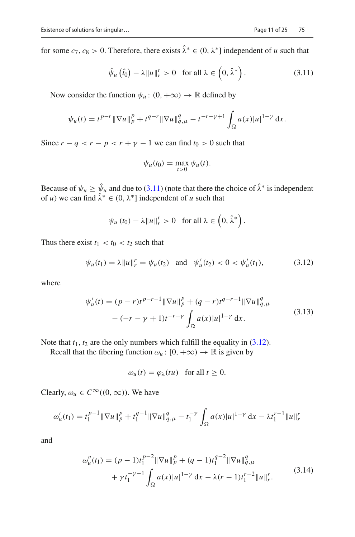$$
\hat{\psi}_u\left(\hat{t}_0\right) - \lambda \|u\|_r^r > 0 \quad \text{for all } \lambda \in \left(0, \hat{\lambda}^*\right). \tag{3.11}
$$

Now consider the function  $\psi_u : (0, +\infty) \to \mathbb{R}$  defined by

$$
\psi_u(t) = t^{p-r} \|\nabla u\|_p^p + t^{q-r} \|\nabla u\|_{q,\mu}^q - t^{-r-\gamma+1} \int_{\Omega} a(x) |u|^{1-\gamma} dx.
$$

Since  $r - q < r - p < r + \gamma - 1$  we can find  $t_0 > 0$  such that

<span id="page-10-0"></span>
$$
\psi_u(t_0) = \max_{t>0} \psi_u(t).
$$

Because of  $\psi_u \ge \psi_u$  and due to [\(3.11\)](#page-10-0) (note that there the choice of  $\lambda^*$  is independent of *u*) we can find  $\lambda^* \in (0, \lambda^*]$  independent of *u* such that

$$
\psi_u(t_0) - \lambda \|u\|_r^r > 0 \text{ for all } \lambda \in \left(0, \hat{\lambda}^*\right).
$$

Thus there exist  $t_1 < t_0 < t_2$  such that

<span id="page-10-1"></span>
$$
\psi_u(t_1) = \lambda \|u\|_r^r = \psi_u(t_2) \text{ and } \psi'_u(t_2) < 0 < \psi'_u(t_1), \tag{3.12}
$$

where

$$
\psi_u'(t) = (p - r)t^{p-r-1} \|\nabla u\|_p^p + (q - r)t^{q-r-1} \|\nabla u\|_{q,\mu}^q
$$
  

$$
-(-r - \gamma + 1)t^{-r-\gamma} \int_{\Omega} a(x)|u|^{1-\gamma} dx.
$$
 (3.13)

Note that  $t_1$ ,  $t_2$  are the only numbers which fulfill the equality in  $(3.12)$ .

Recall that the fibering function  $\omega_u : [0, +\infty) \to \mathbb{R}$  is given by

<span id="page-10-3"></span><span id="page-10-2"></span>
$$
\omega_u(t) = \varphi_\lambda(tu) \quad \text{for all } t \ge 0.
$$

Clearly,  $\omega_u \in C^\infty((0,\infty))$ . We have

$$
\omega'_{u}(t_1) = t_1^{p-1} \|\nabla u\|_p^p + t_1^{q-1} \|\nabla u\|_{q,\mu}^q - t_1^{-\gamma} \int_{\Omega} a(x)|u|^{1-\gamma} dx - \lambda t_1^{r-1} \|u\|_p^r
$$

and

$$
\omega_{u}''(t_{1}) = (p-1)t_{1}^{p-2} \|\nabla u\|_{p}^{p} + (q-1)t_{1}^{q-2} \|\nabla u\|_{q,\mu}^{q} + \gamma t_{1}^{-\gamma-1} \int_{\Omega} a(x)|u|^{1-\gamma} dx - \lambda(r-1)t_{1}^{r-2} \|u\|_{r}^{r}.
$$
\n(3.14)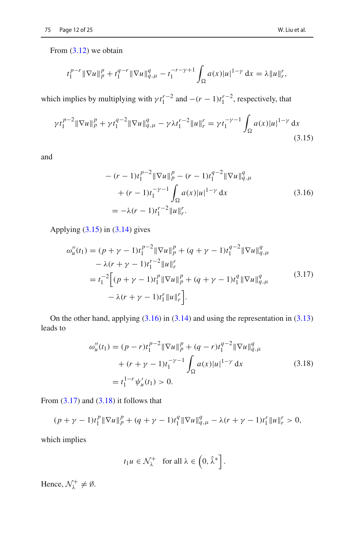From  $(3.12)$  we obtain

$$
t_1^{p-r} \|\nabla u\|_p^p + t_1^{q-r} \|\nabla u\|_{q,\mu}^q - t_1^{-r-\gamma+1} \int_{\Omega} a(x)|u|^{1-\gamma} dx = \lambda \|u\|_p^r,
$$

which implies by multiplying with  $\gamma t_1^{r-2}$  and  $-(r-1)t_1^{r-2}$ , respectively, that

$$
\gamma t_1^{p-2} \|\nabla u\|_p^p + \gamma t_1^{q-2} \|\nabla u\|_{q,\mu}^q - \gamma \lambda t_1^{r-2} \|u\|_r^r = \gamma t_1^{-\gamma - 1} \int_{\Omega} a(x) |u|^{1-\gamma} dx
$$
\n(3.15)

and

<span id="page-11-2"></span><span id="page-11-1"></span><span id="page-11-0"></span>
$$
-(r-1)t_1^{p-2} \|\nabla u\|_p^p - (r-1)t_1^{q-2} \|\nabla u\|_{q,\mu}^q
$$
  
+ 
$$
(r-1)t_1^{-\gamma-1} \int_{\Omega} a(x)|u|^{1-\gamma} dx
$$
  
= 
$$
-\lambda(r-1)t_1^{r-2} \|u\|_r^r.
$$
 (3.16)

Applying  $(3.15)$  in  $(3.14)$  gives

$$
\omega_{u}''(t_{1}) = (p + \gamma - 1)t_{1}^{p-2} \|\nabla u\|_{p}^{p} + (q + \gamma - 1)t_{1}^{q-2} \|\nabla u\|_{q,\mu}^{q}
$$

$$
- \lambda (r + \gamma - 1)t_{1}^{r-2} \|u\|_{r}^{r}
$$

$$
= t_{1}^{-2} \Big[ (p + \gamma - 1)t_{1}^{p} \|\nabla u\|_{p}^{p} + (q + \gamma - 1)t_{1}^{q} \|\nabla u\|_{q,\mu}^{q}
$$
(3.17)
$$
- \lambda (r + \gamma - 1)t_{1}^{r} \|u\|_{r}^{r} \Big].
$$

On the other hand, applying [\(3.16\)](#page-11-1) in [\(3.14\)](#page-10-2) and using the representation in [\(3.13\)](#page-10-3) leads to

<span id="page-11-3"></span>
$$
\omega_u''(t_1) = (p - r)t_1^{p-2} \|\nabla u\|_p^p + (q - r)t_1^{q-2} \|\nabla u\|_{q,\mu}^q
$$

$$
+ (r + \gamma - 1)t_1^{-\gamma - 1} \int_{\Omega} a(x)|u|^{1-\gamma} dx
$$

$$
= t_1^{1-r} \psi_u'(t_1) > 0.
$$
 (3.18)

From  $(3.17)$  and  $(3.18)$  it follows that

$$
(p + \gamma - 1)t_1^p \|\nabla u\|_p^p + (q + \gamma - 1)t_1^q \|\nabla u\|_{q,\mu}^q - \lambda (r + \gamma - 1)t_1^r \|u\|_r^r > 0,
$$

which implies

$$
t_1 u \in \mathcal{N}_{\lambda}^+
$$
 for all  $\lambda \in (0, \hat{\lambda}^*]$ .

Hence,  $\mathcal{N}_{\lambda}^{+} \neq \emptyset$ .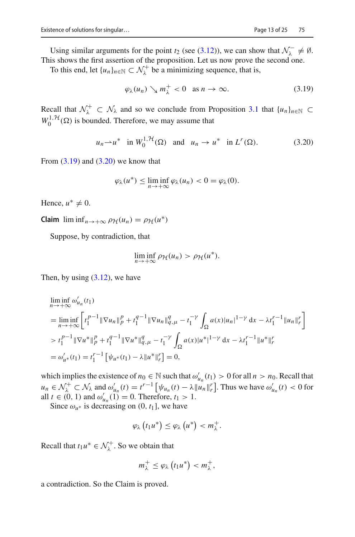Using similar arguments for the point *t*<sub>2</sub> (see [\(3.12\)](#page-10-1)), we can show that  $\mathcal{N}_{\lambda}^- \neq \emptyset$ . This shows the first assertion of the proposition. Let us now prove the second one.

To this end, let  $\{u_n\}_{n \in \mathbb{N}} \subset \mathcal{N}^+_{\lambda}$  be a minimizing sequence, that is,

<span id="page-12-1"></span><span id="page-12-0"></span>
$$
\varphi_{\lambda}(u_n) \searrow m_{\lambda}^+ < 0 \quad \text{as } n \to \infty. \tag{3.19}
$$

Recall that  $\mathcal{N}_{\lambda}^+ \subset \mathcal{N}_{\lambda}$  and so we conclude from Proposition [3.1](#page-6-2) that  $\{u_n\}_{n \in \mathbb{N}} \subset$  $W_0^{1, H}(\Omega)$  is bounded. Therefore, we may assume that

 $u_n \rightarrow u^*$  in  $W_0^{1, \mathcal{H}}(\Omega)$  and  $u_n \rightarrow u^*$  in  $L^r(\Omega)$ . (3.20)

From  $(3.19)$  and  $(3.20)$  we know that

$$
\varphi_{\lambda}(u^*) \leq \liminf_{n \to +\infty} \varphi_{\lambda}(u_n) < 0 = \varphi_{\lambda}(0).
$$

Hence,  $u^* \neq 0$ .

**Claim**  $\liminf_{n \to \infty} \rho_H(u_n) = \rho_H(u^*)$ 

Suppose, by contradiction, that

$$
\liminf_{n\to+\infty}\rho_{\mathcal{H}}(u_n) > \rho_{\mathcal{H}}(u^*).
$$

Then, by using  $(3.12)$ , we have

$$
\liminf_{n \to +\infty} \omega'_{u_n}(t_1)
$$
\n
$$
= \liminf_{n \to +\infty} \left[ t_1^{p-1} \|\nabla u_n\|_p^p + t_1^{q-1} \|\nabla u_n\|_{q,\mu}^q - t_1^{-\gamma} \int_{\Omega} a(x)|u_n|^{1-\gamma} dx - \lambda t_1^{r-1} \|u_n\|_r^r \right]
$$
\n
$$
> t_1^{p-1} \|\nabla u^*\|_p^p + t_1^{q-1} \|\nabla u^*\|_{q,\mu}^q - t_1^{-\gamma} \int_{\Omega} a(x)|u^*|^{1-\gamma} dx - \lambda t_1^{r-1} \|u^*\|_r^r
$$
\n
$$
= \omega'_{u^*}(t_1) = t_1^{r-1} \left[ \psi_{u^*}(t_1) - \lambda \|u^*\|_r^r \right] = 0,
$$

which implies the existence of  $n_0 \in \mathbb{N}$  such that  $\omega'_{u_n}(t_1) > 0$  for all  $n > n_0$ . Recall that  $u_n \in \mathcal{N}^+_{\lambda} \subset \mathcal{N}_{\lambda}$  and  $\omega'_{u_n}(t) = t^{r-1} \left[ \psi_{u_n}(t) - \lambda \| u_n \|_r^r \right]$ . Thus we have  $\omega'_{u_n}(t) < 0$  for all *t*  $\in$  (0, 1) and  $\omega'_{u_n}(1) = 0$ . Therefore,  $t_1 > 1$ .

Since  $\omega_{u^*}$  is decreasing on (0,  $t_1$ ], we have

$$
\varphi_{\lambda}\left(t_{1}u^{*}\right)\leq\varphi_{\lambda}\left(u^{*}\right)
$$

Recall that  $t_1u^* \in \mathcal{N}_{\lambda}^+$ . So we obtain that

$$
m_{\lambda}^+\leq \varphi_{\lambda}\left(t_1u^*\right)
$$

a contradiction. So the Claim is proved.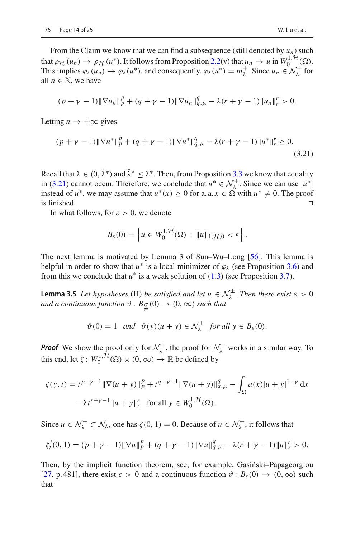From the Claim we know that we can find a subsequence (still denoted by  $u_n$ ) such that  $\rho_H(u_n) \to \rho_H(u^*)$ . It follows from Proposition [2.2\(](#page-4-0)v) that  $u_n \to u$  in  $W_0^{1, H}(\Omega)$ . This implies  $\varphi_{\lambda}(u_n) \to \varphi_{\lambda}(u^*)$ , and consequently,  $\varphi_{\lambda}(u^*) = m_{\lambda}^+$ . Since  $u_n \in \mathcal{N}_{\lambda}^+$  for all  $n \in \mathbb{N}$ , we have

$$
(p + \gamma - 1) \|\nabla u_n\|_p^p + (q + \gamma - 1) \|\nabla u_n\|_{q,\mu}^q - \lambda(r + \gamma - 1) \|u_n\|_r^r > 0.
$$

Letting  $n \to +\infty$  gives

<span id="page-13-0"></span>
$$
(p + \gamma - 1) \|\nabla u^*\|_p^p + (q + \gamma - 1) \|\nabla u^*\|_{q,\mu}^q - \lambda (r + \gamma - 1) \|u^*\|_r^r \ge 0.
$$
\n(3.21)

Recall that  $\lambda \in (0, \hat{\lambda}^*)$  and  $\hat{\lambda}^* \leq \lambda^*$ . Then, from Proposition [3.3](#page-7-4) we know that equality in [\(3.21\)](#page-13-0) cannot occur. Therefore, we conclude that  $u^* \in \mathcal{N}_{\lambda}^+$ . Since we can use  $|u^*|$ instead of *u*<sup>\*</sup>, we may assume that  $u^*(x) \ge 0$  for a. a.  $x \in \Omega$  with  $u^* \ne 0$ . The proof is finished. is finished.  $\Box$ 

In what follows, for  $\varepsilon > 0$ , we denote

$$
B_{\varepsilon}(0) = \left\{ u \in W_0^{1, \mathcal{H}}(\Omega) : ||u||_{1, \mathcal{H}, 0} < \varepsilon \right\}.
$$

The next lemma is motivated by Lemma 3 of Sun–Wu–Long [\[56\]](#page-24-10). This lemma is helpful in order to show that  $u^*$  is a local minimizer of  $\varphi_{\lambda}$  (see Proposition [3.6\)](#page-14-0) and from this we conclude that  $u^*$  is a weak solution of  $(1.3)$  (see Proposition [3.7\)](#page-15-0).

<span id="page-13-1"></span>**Lemma 3.5** *Let hypotheses* (H) *be satisfied and let*  $u \in \mathcal{N}_{\lambda}^{\pm}$ . *Then there exist*  $\varepsilon > 0$ and a continuous function  $\vartheta\colon B_{\not\subseteq}(0)\to (0,\infty)$  such that

$$
\vartheta(0) = 1 \quad \text{and} \quad \vartheta(y)(u+y) \in \mathcal{N}_{\lambda}^{\pm} \quad \text{for all } y \in B_{\varepsilon}(0).
$$

**Proof** We show the proof only for  $\mathcal{N}_{\lambda}^{+}$ , the proof for  $\mathcal{N}_{\lambda}^{-}$  works in a similar way. To this end, let  $\zeta: W_0^{1,\mathcal{H}}(\Omega) \times (0,\infty) \to \mathbb{R}$  be defined by

$$
\zeta(y,t) = t^{p+\gamma-1} \|\nabla(u+y)\|_{p}^{p} + t^{q+\gamma-1} \|\nabla(u+y)\|_{q,\mu}^{q} - \int_{\Omega} a(x)|u+y|^{1-\gamma} dx
$$
  
 
$$
- \lambda t^{r+\gamma-1} \|u+y\|_{r}^{r} \text{ for all } y \in W_{0}^{1,\mathcal{H}}(\Omega).
$$

Since  $u \in \mathcal{N}_{\lambda}^+ \subset \mathcal{N}_{\lambda}$ , one has  $\zeta(0, 1) = 0$ . Because of  $u \in \mathcal{N}_{\lambda}^+$ , it follows that

$$
\zeta'_{t}(0,1) = (p+\gamma-1) \|\nabla u\|_{p}^{p} + (q+\gamma-1) \|\nabla u\|_{q,\mu}^{q} - \lambda(r+\gamma-1) \|u\|_{r}^{r} > 0.
$$

Then, by the implicit function theorem, see, for example, Gasinski–Papageorgiou [\[27](#page-23-25), p. 481], there exist  $\varepsilon > 0$  and a continuous function  $\vartheta$ :  $B_{\varepsilon}(0) \to (0, \infty)$  such that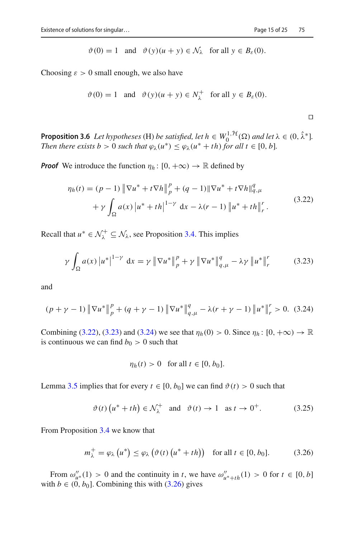$$
\vartheta(0) = 1 \quad \text{and} \quad \vartheta(y)(u+y) \in \mathcal{N}_{\lambda} \quad \text{for all } y \in B_{\varepsilon}(0).
$$

Choosing  $\varepsilon > 0$  small enough, we also have

$$
\vartheta(0) = 1 \quad \text{and} \quad \vartheta(y)(u+y) \in N_{\lambda}^{+} \quad \text{for all } y \in B_{\varepsilon}(0).
$$

<span id="page-14-3"></span><span id="page-14-2"></span><span id="page-14-1"></span> $\Box$ 

<span id="page-14-0"></span>**Proposition 3.6** *Let hypotheses* (H) *be satisfied, let*  $h \in W_0^{1, H}(\Omega)$  *and let*  $\lambda \in (0, \hat{\lambda}^*]$ *. Then there exists b* > 0 *such that*  $\varphi_{\lambda}(u^*) \leq \varphi_{\lambda}(u^* + th)$  *for all t*  $\in$  [0, *b*]*.* 

*Proof* We introduce the function  $\eta_h: [0, +\infty) \to \mathbb{R}$  defined by

$$
\eta_h(t) = (p-1) \|\nabla u^* + t \nabla h\|_p^p + (q-1) \|\nabla u^* + t \nabla h\|_{q,\mu}^q \n+ \gamma \int_{\Omega} a(x) |u^* + th|^{1-\gamma} dx - \lambda(r-1) \|u^* + th\|_r^r.
$$
\n(3.22)

Recall that  $u^* \in \mathcal{N}^+_{\lambda} \subseteq \mathcal{N}_{\lambda}$ , see Proposition [3.4.](#page-8-1) This implies

$$
\gamma \int_{\Omega} a(x) |u^*|^{1-\gamma} dx = \gamma ||\nabla u^*||_p^p + \gamma ||\nabla u^*||_{q,\mu}^q - \lambda \gamma ||u^*||_r^r \qquad (3.23)
$$

and

$$
(p + \gamma - 1) \|\nabla u^*\|_p^p + (q + \gamma - 1) \|\nabla u^*\|_{q,\mu}^q - \lambda(r + \gamma - 1) \left\|u^*\right\|_r^r > 0. \tag{3.24}
$$

Combining [\(3.22\)](#page-14-1), [\(3.23\)](#page-14-2) and [\(3.24\)](#page-14-3) we see that  $\eta_h(0) > 0$ . Since  $\eta_h: [0, +\infty) \to \mathbb{R}$ is continuous we can find  $b_0 > 0$  such that

<span id="page-14-5"></span><span id="page-14-4"></span>
$$
\eta_h(t) > 0 \quad \text{for all } t \in [0, b_0].
$$

Lemma [3.5](#page-13-1) implies that for every  $t \in [0, b_0]$  we can find  $\vartheta(t) > 0$  such that

$$
\vartheta(t) \left( u^* + th \right) \in \mathcal{N}_{\lambda}^+ \quad \text{and} \quad \vartheta(t) \to 1 \quad \text{as } t \to 0^+. \tag{3.25}
$$

From Proposition [3.4](#page-8-1) we know that

$$
m_{\lambda}^{+} = \varphi_{\lambda} \left( u^{*} \right) \leq \varphi_{\lambda} \left( \vartheta \left( t \right) \left( u^{*} + th \right) \right) \quad \text{for all } t \in [0, b_{0}]. \tag{3.26}
$$

From  $\omega_{u^*}''(1) > 0$  and the continuity in *t*, we have  $\omega_{u^*+th}''(1) > 0$  for  $t \in [0, b]$ with  $b \in (0, b_0]$ . Combining this with  $(3.26)$  gives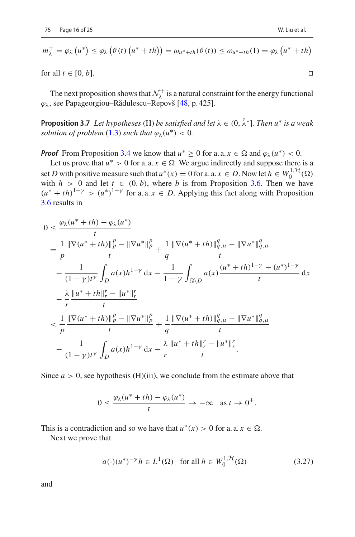$$
m_{\lambda}^{+} = \varphi_{\lambda} (u^{*}) \leq \varphi_{\lambda} (\vartheta(t) (u^{*} + th)) = \omega_{u^{*} + th}(\vartheta(t)) \leq \omega_{u^{*} + th}(1) = \varphi_{\lambda} (u^{*} + th)
$$

for all  $t \in [0, b]$ .

<span id="page-15-0"></span>The next proposition shows that  $\mathcal{N}_{\lambda}^{+}$  is a natural constraint for the energy functional  $\varphi_{\lambda}$ , see Papageorgiou–Rădulescu–Repovš [\[48,](#page-23-26) p. 425].

**Proposition 3.7** *Let hypotheses* (H) *be satisfied and let*  $\lambda \in (0, \hat{\lambda}^*]$ *. Then*  $u^*$  *is a weak solution of problem* [\(1.3\)](#page-1-2) *such that*  $\varphi_{\lambda}(u^*)$  < 0*.* 

*Proof* From Proposition [3.4](#page-8-1) we know that  $u^* \ge 0$  for a. a.  $x \in \Omega$  and  $\varphi_\lambda(u^*) < 0$ .

Let us prove that  $u^* > 0$  for a. a.  $x \in \Omega$ . We argue indirectly and suppose there is a set *D* with positive measure such that  $u^*(x) = 0$  for a. a.  $x \in D$ . Now let  $h \in W_0^{1,1}(\Omega)$ with  $h > 0$  and let  $t \in (0, b)$ , where *b* is from Proposition [3.6.](#page-14-0) Then we have  $(u^* + th)^{1-\gamma} > (u^*)^{1-\gamma}$  for a. a.  $x \in D$ . Applying this fact along with Proposition [3.6](#page-14-0) results in

$$
0 \leq \frac{\varphi_{\lambda}(u^{*} + th) - \varphi_{\lambda}(u^{*})}{t}
$$
\n
$$
= \frac{1}{p} \frac{\|\nabla(u^{*} + th)\|_{p}^{p} - \|\nabla u^{*}\|_{p}^{p}}{t} + \frac{1}{q} \frac{\|\nabla(u^{*} + th)\|_{q,\mu}^{q} - \|\nabla u^{*}\|_{q,\mu}^{q}}{t}
$$
\n
$$
- \frac{1}{(1 - \gamma)t^{\gamma}} \int_{D} a(x)h^{1-\gamma} dx - \frac{1}{1 - \gamma} \int_{\Omega \setminus D} a(x) \frac{(u^{*} + th)^{1-\gamma} - (u^{*})^{1-\gamma}}{t} dx
$$
\n
$$
- \frac{\lambda}{r} \frac{\|u^{*} + th\|_{r}^{r} - \|u^{*}\|_{r}^{r}}{t}
$$
\n
$$
< \frac{1}{p} \frac{\|\nabla(u^{*} + th)\|_{p}^{p} - \|\nabla u^{*}\|_{p}^{p}}{t} + \frac{1}{q} \frac{\|\nabla(u^{*} + th)\|_{q,\mu}^{q} - \|\nabla u^{*}\|_{q,\mu}^{q}}{t}
$$
\n
$$
- \frac{1}{(1 - \gamma)t^{\gamma}} \int_{D} a(x)h^{1-\gamma} dx - \frac{\lambda}{r} \frac{\|u^{*} + th\|_{r}^{r} - \|u^{*}\|_{r}^{r}}{t}.
$$

Since  $a > 0$ , see hypothesis (H)(iii), we conclude from the estimate above that

$$
0 \le \frac{\varphi_\lambda(u^* + th) - \varphi_\lambda(u^*)}{t} \to -\infty \quad \text{as } t \to 0^+.
$$

This is a contradiction and so we have that  $u^*(x) > 0$  for a. a.  $x \in \Omega$ .

Next we prove that

<span id="page-15-1"></span>
$$
a(\cdot)(u^*)^{-\gamma}h \in L^1(\Omega) \quad \text{for all } h \in W_0^{1,\mathcal{H}}(\Omega) \tag{3.27}
$$

and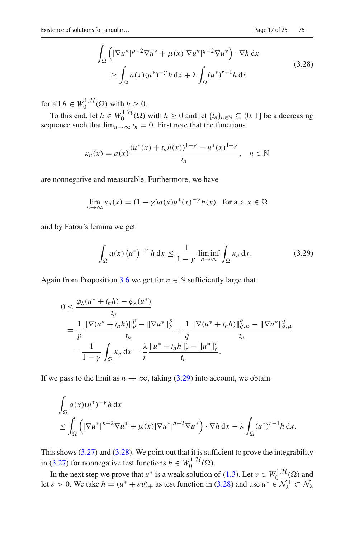<span id="page-16-1"></span>
$$
\int_{\Omega} \left( |\nabla u^*|^{p-2} \nabla u^* + \mu(x) |\nabla u^*|^{q-2} \nabla u^* \right) \cdot \nabla h \, dx
$$
\n
$$
\geq \int_{\Omega} a(x) (u^*)^{-\gamma} h \, dx + \lambda \int_{\Omega} (u^*)^{r-1} h \, dx \tag{3.28}
$$

for all  $h \in W_0^{1, \mathcal{H}}(\Omega)$  with  $h \geq 0$ .

To this end, let  $h \in W_0^{1,1}(\Omega)$  with  $h \ge 0$  and let  $\{t_n\}_{n \in \mathbb{N}} \subseteq (0, 1]$  be a decreasing sequence such that  $\lim_{n\to\infty} t_n = 0$ . First note that the functions

$$
\kappa_n(x) = a(x) \frac{(u^*(x) + t_n h(x))^{1-\gamma} - u^*(x)^{1-\gamma}}{t_n}, \quad n \in \mathbb{N}
$$

are nonnegative and measurable. Furthermore, we have

$$
\lim_{n \to \infty} \kappa_n(x) = (1 - \gamma)a(x)u^*(x)^{-\gamma}h(x) \text{ for a.a. } x \in \Omega
$$

and by Fatou's lemma we get

<span id="page-16-0"></span>
$$
\int_{\Omega} a(x) \left(u^*\right)^{-\gamma} h \, \mathrm{d}x \le \frac{1}{1-\gamma} \liminf_{n \to \infty} \int_{\Omega} \kappa_n \, \mathrm{d}x. \tag{3.29}
$$

Again from Proposition [3.6](#page-14-0) we get for  $n \in \mathbb{N}$  sufficiently large that

$$
0 \leq \frac{\varphi_{\lambda}(u^{*} + t_{n}h) - \varphi_{\lambda}(u^{*})}{t_{n}} \\
= \frac{1}{p} \frac{\|\nabla(u^{*} + t_{n}h)\|_{p}^{p} - \|\nabla u^{*}\|_{p}^{p}}{t_{n}} + \frac{1}{q} \frac{\|\nabla(u^{*} + t_{n}h)\|_{q,\mu}^{q} - \|\nabla u^{*}\|_{q,\mu}^{q}}{t_{n}} \\
- \frac{1}{1 - \gamma} \int_{\Omega} \kappa_{n} dx - \frac{\lambda}{r} \frac{\|u^{*} + t_{n}h\|_{r}^{r} - \|u^{*}\|_{r}^{r}}{t_{n}}.
$$

If we pass to the limit as  $n \to \infty$ , taking [\(3.29\)](#page-16-0) into account, we obtain

$$
\int_{\Omega} a(x) (u^*)^{-\gamma} h \, dx
$$
\n
$$
\leq \int_{\Omega} \left( |\nabla u^*|^{p-2} \nabla u^* + \mu(x) |\nabla u^*|^{q-2} \nabla u^* \right) \cdot \nabla h \, dx - \lambda \int_{\Omega} (u^*)^{r-1} h \, dx.
$$

This shows  $(3.27)$  and  $(3.28)$ . We point out that it is sufficient to prove the integrability in [\(3.27\)](#page-15-1) for nonnegative test functions  $h \in W_0^{1, \mathcal{H}}(\Omega)$ .

In the next step we prove that  $u^*$  is a weak solution of [\(1.3\)](#page-1-2). Let  $v \in W_0^{1, H}(\Omega)$  and let  $\varepsilon > 0$ . We take  $h = (u^* + \varepsilon v)_+$  as test function in [\(3.28\)](#page-16-1) and use  $u^* \in \mathcal{N}_\lambda^+ \subset \mathcal{N}_\lambda$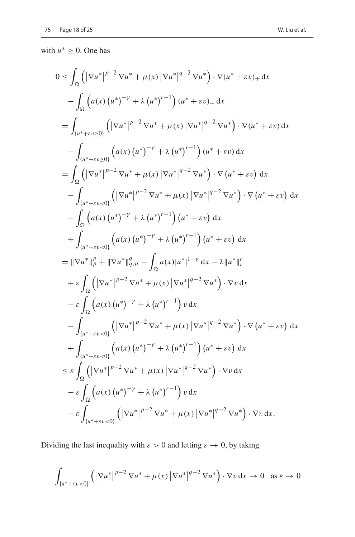with  $u^* \geq 0$ . One has

$$
0 \leq \int_{\Omega} \left( |\nabla u^*|^{p-2} \nabla u^* + \mu(x) |\nabla u^*|^{q-2} \nabla u^* \right) \cdot \nabla (u^* + \varepsilon v) + dx
$$
  
\n
$$
- \int_{\Omega} \left( a(x) (u^*)^{-\gamma} + \lambda (u^*)^{-1} \right) (u^* + \varepsilon v) + dx
$$
  
\n
$$
= \int_{\{u^* + \varepsilon v \ge 0\}} \left( |\nabla u^*|^{p-2} \nabla u^* + \mu(x) |\nabla u^*|^{q-2} \nabla u^* \right) \cdot \nabla (u^* + \varepsilon v) dx
$$
  
\n
$$
- \int_{\{u^* + \varepsilon v \ge 0\}} \left( a(x) (u^*)^{-\gamma} + \lambda (u^*)^{-1} \right) (u^* + \varepsilon v) dx
$$
  
\n
$$
= \int_{\Omega} \left( |\nabla u^*|^{p-2} \nabla u^* + \mu(x) |\nabla u^*|^{q-2} \nabla u^* \right) \cdot \nabla (u^* + \varepsilon v) dx
$$
  
\n
$$
- \int_{\{u^* + \varepsilon v \le 0\}} \left( |\nabla u^*|^{p-2} \nabla u^* + \mu(x) |\nabla u^*|^{q-2} \nabla u^* \right) \cdot \nabla (u^* + \varepsilon v) dx
$$
  
\n
$$
- \int_{\Omega} \left( a(x) (u^*)^{-\gamma} + \lambda (u^*)^{-1} \right) (u^* + \varepsilon v) dx
$$
  
\n
$$
+ \int_{\{u^* + \varepsilon v \le 0\}} \left( a(x) (u^*)^{-\gamma} + \lambda (u^*)^{-1} \right) (u^* + \varepsilon v) dx
$$
  
\n
$$
= \|\nabla u^* \|^p_p + \|\nabla u^* \|^q_{q,\mu} - \int_{\Omega} a(x) |u^*|^{1-\gamma} dx - \lambda ||u^*||^r_r
$$
  
\n
$$
+ \varepsilon \int_{\Omega} \left( |\nabla u^*|^{p-2} \nabla u^* + \mu(x) |\
$$

Dividing the last inequality with  $\varepsilon > 0$  and letting  $\varepsilon \to 0$ , by taking

$$
\int_{\{u^*+\varepsilon v<0\}} \left( \left|\nabla u^*\right|^{p-2} \nabla u^* + \mu(x) \left|\nabla u^*\right|^{q-2} \nabla u^*\right) \cdot \nabla v \, \mathrm{d}x \to 0 \quad \text{as } \varepsilon \to 0
$$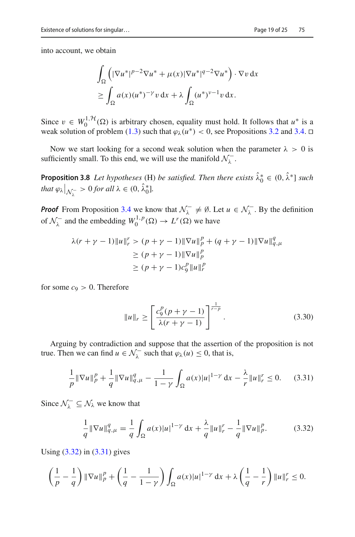into account, we obtain

$$
\int_{\Omega} \left( |\nabla u^*|^{p-2} \nabla u^* + \mu(x) |\nabla u^*|^{q-2} \nabla u^* \right) \cdot \nabla v \, dx
$$
  
\n
$$
\geq \int_{\Omega} a(x) (u^*)^{-\gamma} v \, dx + \lambda \int_{\Omega} (u^*)^{v-1} v \, dx.
$$

Since  $v \in W_0^{1,1}(\Omega)$  is arbitrary chosen, equality must hold. It follows that  $u^*$  is a weak solution of problem [\(1.3\)](#page-1-2) such that  $\varphi_{\lambda}(u^*)$  < 0, see Propositions [3.2](#page-6-3) and [3.4.](#page-8-1)  $\Box$ 

<span id="page-18-3"></span>Now we start looking for a second weak solution when the parameter  $\lambda > 0$  is sufficiently small. To this end, we will use the manifold  $\mathcal{N}_{\lambda}^-$ .

**Proposition 3.8** *Let hypotheses* (H) *be satisfied. Then there exists*  $\lambda_0^* \in (0, \lambda^*]$  *such that*  $\varphi_{\lambda}|_{\mathcal{N}_{\lambda}^{-}} > 0$  *for all*  $\lambda \in (0, \lambda_{0}^{*}]$ *.* 

*Proof* From Proposition [3.4](#page-8-1) we know that  $\mathcal{N}_{\lambda}^- \neq \emptyset$ . Let  $u \in \mathcal{N}_{\lambda}^-$ . By the definition of  $\mathcal{N}_{\lambda}^-$  and the embedding  $W_0^{1,p}(\Omega) \to L^r(\Omega)$  we have

$$
\lambda(r + \gamma - 1) \|u\|_{r}^{r} > (p + \gamma - 1) \|\nabla u\|_{p}^{p} + (q + \gamma - 1) \|\nabla u\|_{q,\mu}^{q}
$$
  
\n
$$
\geq (p + \gamma - 1) \|\nabla u\|_{p}^{p}
$$
  
\n
$$
\geq (p + \gamma - 1)c_{9}^{p} \|u\|_{r}^{p}
$$

for some  $c_9 > 0$ . Therefore

<span id="page-18-2"></span>
$$
||u||_{r} \ge \left[\frac{c_9^p(p+\gamma-1)}{\lambda(r+\gamma-1)}\right]^{\frac{1}{r-p}}.\tag{3.30}
$$

Arguing by contradiction and suppose that the assertion of the proposition is not true. Then we can find  $u \in \mathcal{N}_{\lambda}^-$  such that  $\varphi_{\lambda}(u) \leq 0$ , that is,

<span id="page-18-1"></span>
$$
\frac{1}{p} \|\nabla u\|_{p}^{p} + \frac{1}{q} \|\nabla u\|_{q,\mu}^{q} - \frac{1}{1-\gamma} \int_{\Omega} a(x)|u|^{1-\gamma} dx - \frac{\lambda}{r} \|u\|_{r}^{r} \le 0. \tag{3.31}
$$

Since  $\mathcal{N}_{\lambda}^{-} \subseteq \mathcal{N}_{\lambda}$  we know that

<span id="page-18-0"></span>
$$
\frac{1}{q} \|\nabla u\|_{q,\mu}^q = \frac{1}{q} \int_{\Omega} a(x)|u|^{1-\gamma} dx + \frac{\lambda}{q} \|u\|_{r}^r - \frac{1}{q} \|\nabla u\|_{p}^p. \tag{3.32}
$$

Using [\(3.32\)](#page-18-0) in [\(3.31\)](#page-18-1) gives

$$
\left(\frac{1}{p}-\frac{1}{q}\right)\|\nabla u\|_p^p+\left(\frac{1}{q}-\frac{1}{1-\gamma}\right)\int_{\Omega}a(x)|u|^{1-\gamma}\,dx+\lambda\left(\frac{1}{q}-\frac{1}{r}\right)\|u\|_r^r\leq 0.
$$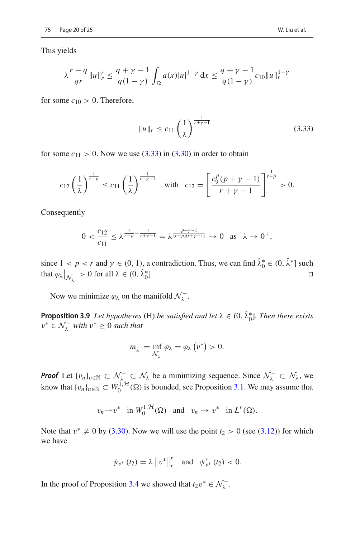This yields

$$
\lambda \frac{r-q}{qr} ||u||_r^r \le \frac{q+\gamma-1}{q(1-\gamma)} \int_{\Omega} a(x) |u|^{1-\gamma} dx \le \frac{q+\gamma-1}{q(1-\gamma)} c_{10} ||u||_r^{1-\gamma}
$$

for some  $c_{10} > 0$ . Therefore,

<span id="page-19-0"></span>
$$
||u||_{r} \leq c_{11} \left(\frac{1}{\lambda}\right)^{\frac{1}{r+\gamma-1}}
$$
\n(3.33)

for some  $c_{11} > 0$ . Now we use  $(3.33)$  in  $(3.30)$  in order to obtain

$$
c_{12}\left(\frac{1}{\lambda}\right)^{\frac{1}{r-p}} \le c_{11}\left(\frac{1}{\lambda}\right)^{\frac{1}{r+\gamma-1}} \quad \text{with} \quad c_{12} = \left[\frac{c_9^p(p+\gamma-1)}{r+\gamma-1}\right]^{\frac{1}{r-p}} > 0.
$$

Consequently

$$
0 < \frac{c_{12}}{c_{11}} \le \lambda^{\frac{1}{r-p} - \frac{1}{r+\gamma-1}} = \lambda^{\frac{p+\gamma-1}{(r-p)(r+\gamma-1)}} \to 0 \quad \text{as} \quad \lambda \to 0^+,
$$

since  $1 < p < r$  and  $\gamma \in (0, 1)$ , a contradiction. Thus, we can find  $\lambda_0^* \in (0, \lambda^*]$  such that  $\varphi_{\lambda}\big|_{\mathcal{N}_{\lambda}^{-}} > 0$  for all  $\lambda \in (0, \lambda_{0}^{*})$  $_{0}^{\ast}$ ].

<span id="page-19-1"></span>Now we minimize  $\varphi_{\lambda}$  on the manifold  $\mathcal{N}_{\lambda}^-$ .

**Proposition 3.9** *Let hypotheses* (H) *be satisfied and let*  $\lambda \in (0, \lambda_0^*]$ *. Then there exists*  $v^* \in \mathcal{N}_\lambda^-$  with  $v^* \geq 0$  such that

$$
m_{\lambda}^- = \inf_{\mathcal{N}_{\lambda}^-} \varphi_{\lambda} = \varphi_{\lambda} (v^*) > 0.
$$

*Proof* Let  $\{v_n\}_{n\in\mathbb{N}}\subset\mathcal{N}_\lambda^- \subset\mathcal{N}_\lambda$  be a minimizing sequence. Since  $\mathcal{N}_\lambda^- \subset\mathcal{N}_\lambda$ , we know that  $\{v_n\}_{n\in\mathbb{N}}\subset W_0^{1,\mathcal{H}}(\Omega)$  is bounded, see Proposition [3.1.](#page-6-2) We may assume that

$$
v_n \rightharpoonup v^*
$$
 in  $W_0^{1,\mathcal{H}}(\Omega)$  and  $v_n \to v^*$  in  $L^r(\Omega)$ .

Note that  $v^* \neq 0$  by [\(3.30\)](#page-18-2). Now we will use the point  $t_2 > 0$  (see [\(3.12\)](#page-10-1)) for which we have

$$
\psi_{v^*}(t_2) = \lambda \|v^*\|_r^r
$$
 and  $\psi'_{v^*}(t_2) < 0$ .

In the proof of Proposition [3.4](#page-8-1) we showed that  $t_2v^* \in \mathcal{N}_{\lambda}^-$ .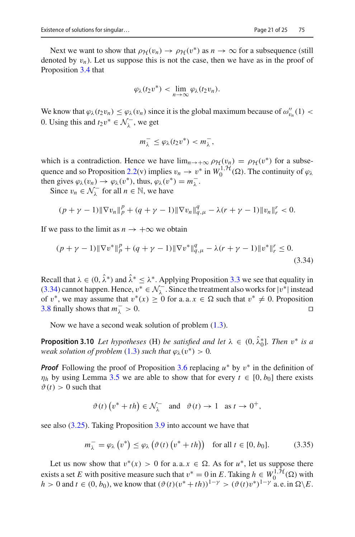Next we want to show that  $\rho_H(v_n) \to \rho_H(v^*)$  as  $n \to \infty$  for a subsequence (still denoted by  $v_n$ ). Let us suppose this is not the case, then we have as in the proof of Proposition [3.4](#page-8-1) that

$$
\varphi_\lambda(t_2v^*) < \lim_{n\to\infty}\varphi_\lambda(t_2v_n).
$$

We know that  $\varphi_{\lambda}(t_2v_n) \leq \varphi_{\lambda}(v_n)$  since it is the global maximum because of  $\omega_{v_n}''(1)$  < 0. Using this and  $t_2v^* \in \mathcal{N}_\lambda^-$ , we get

$$
m_{\lambda}^- \leq \varphi_{\lambda}(t_2 v^*) < m_{\lambda}^-,
$$

which is a contradiction. Hence we have  $\lim_{n\to+\infty} \rho_H(v_n) = \rho_H(v^*)$  for a subse-quence and so Proposition [2.2\(](#page-4-0)v) implies  $v_n \to v^*$  in  $W_0^{1, \mathcal{H}}(\Omega)$ . The continuity of  $\varphi_\lambda$ then gives  $\varphi_{\lambda}(v_n) \to \varphi_{\lambda}(v^*)$ , thus,  $\varphi_{\lambda}(v^*) = m_{\lambda}^-$ .

Since  $v_n \in \mathcal{N}_\lambda^-$  for all  $n \in \mathbb{N}$ , we have

$$
(p + \gamma - 1) \|\nabla v_n\|_p^p + (q + \gamma - 1) \|\nabla v_n\|_{q,\mu}^q - \lambda(r + \gamma - 1) \|v_n\|_r^r < 0.
$$

If we pass to the limit as  $n \to +\infty$  we obtain

<span id="page-20-0"></span>
$$
(p + \gamma - 1) \|\nabla v^*\|_p^p + (q + \gamma - 1) \|\nabla v^*\|_{q,\mu}^q - \lambda (r + \gamma - 1) \|v^*\|_r^r \le 0.
$$
\n(3.34)

Recall that  $\lambda \in (0, \hat{\lambda}^*)$  and  $\hat{\lambda}^* \leq \lambda^*$ . Applying Proposition [3.3](#page-7-4) we see that equality in [\(3.34\)](#page-20-0) cannot happen. Hence,  $v^* \in \mathcal{N}_\lambda^-$ . Since the treatment also works for  $|v^*|$  instead of  $v^*$ , we may assume that  $v^*(x) \geq 0$  for a. a.  $x \in \Omega$  such that  $v^* \neq 0$ . Proposition [3.8](#page-18-3) finally shows that  $m_1^- > 0$ .  $\frac{1}{\lambda} > 0.$ 

<span id="page-20-2"></span>Now we have a second weak solution of problem [\(1.3\)](#page-1-2).

**Proposition 3.10** *Let hypotheses* (H) *be satisfied and let*  $\lambda \in (0, \lambda_0^*]$ *. Then*  $v^*$  *is a weak solution of problem* [\(1.3\)](#page-1-2) *such that*  $\varphi_{\lambda}(v^*) > 0$ *.* 

*Proof* Following the proof of Proposition [3.6](#page-14-0) replacing *u*<sup>∗</sup> by *v*<sup>∗</sup> in the definition of  $\eta_h$  by using Lemma [3.5](#page-13-1) we are able to show that for every  $t \in [0, b_0]$  there exists  $\vartheta(t) > 0$  such that

<span id="page-20-1"></span>
$$
\vartheta(t) (v^* + th) \in \mathcal{N}_{\lambda}^-
$$
 and  $\vartheta(t) \to 1$  as  $t \to 0^+$ ,

see also [\(3.25\)](#page-14-5). Taking Proposition [3.9](#page-19-1) into account we have that

$$
m_{\lambda}^- = \varphi_{\lambda} (v^*) \le \varphi_{\lambda} (\vartheta(t) (v^* + th)) \quad \text{for all } t \in [0, b_0]. \tag{3.35}
$$

Let us now show that  $v^*(x) > 0$  for a.a.  $x \in \Omega$ . As for  $u^*$ , let us suppose there exists a set *E* with positive measure such that  $v^* = 0$  in *E*. Taking  $h \in W_0^{1,1}(\Omega)$  with  $h > 0$  and  $t \in (0, b_0)$ , we know that  $(\vartheta(t)(v^* + th))^{1-\gamma} > (\vartheta(t)v^*)^{1-\gamma}$  a.e. in  $\Omega \backslash E$ .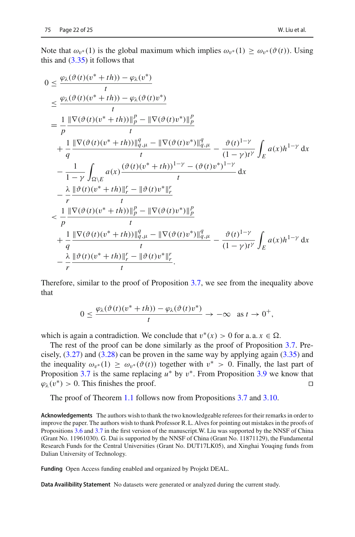Note that  $\omega_{v^*}(1)$  is the global maximum which implies  $\omega_{v^*}(1) \geq \omega_{v^*}(\vartheta(t))$ . Using this and  $(3.35)$  it follows that

$$
0 \leq \frac{\varphi_{\lambda}(\vartheta(t)(v^{*} + th)) - \varphi_{\lambda}(v^{*})}{t}
$$
  
\n
$$
\leq \frac{\varphi_{\lambda}(\vartheta(t)(v^{*} + th)) - \varphi_{\lambda}(\vartheta(t)v^{*})}{t}
$$
  
\n
$$
= \frac{1}{p} \frac{\|\nabla(\vartheta(t)(v^{*} + th))\|_{p}^{p} - \|\nabla(\vartheta(t)v^{*})\|_{p}^{p}}{t}
$$
  
\n
$$
+ \frac{1}{q} \frac{\|\nabla(\vartheta(t)(v^{*} + th))\|_{q,\mu}^{q} - \|\nabla(\vartheta(t)v^{*})\|_{q,\mu}^{q}}{t} - \frac{\vartheta(t)^{1-\gamma}}{(1-\gamma)t^{\gamma}} \int_{E} a(x)h^{1-\gamma} dx
$$
  
\n
$$
- \frac{1}{1-\gamma} \int_{\Omega \setminus E} a(x) \frac{(\vartheta(t)(v^{*} + th))^{1-\gamma} - (\vartheta(t)v^{*})^{1-\gamma}}{t} dx
$$
  
\n
$$
- \frac{\lambda}{r} \frac{\|\vartheta(t)(v^{*} + th)\|_{r}^{r} - \|\vartheta(t)v^{*}\|_{r}^{r}}{t}
$$
  
\n
$$
< \frac{1}{p} \frac{\|\nabla(\vartheta(t)(v^{*} + th))\|_{p}^{p} - \|\nabla(\vartheta(t)v^{*})\|_{p}^{p}}{t}
$$
  
\n
$$
+ \frac{1}{q} \frac{\|\nabla(\vartheta(t)(v^{*} + th))\|_{q,\mu}^{q} - \|\nabla(\vartheta(t)v^{*})\|_{q,\mu}^{q}}{t} - \frac{\vartheta(t)^{1-\gamma}}{(1-\gamma)t^{\gamma}} \int_{E} a(x)h^{1-\gamma} dx
$$
  
\n
$$
- \frac{\lambda}{r} \frac{\|\vartheta(t)(v^{*} + th)\|_{r}^{r} - \|\vartheta(t)v^{*}\|_{r}^{r}}{t}.
$$

Therefore, similar to the proof of Proposition [3.7,](#page-15-0) we see from the inequality above that

$$
0 \le \frac{\varphi_\lambda(\vartheta(t)(v^* + th)) - \varphi_\lambda(\vartheta(t)v^*)}{t} \to -\infty \quad \text{as } t \to 0^+,
$$

which is again a contradiction. We conclude that  $v^*(x) > 0$  for a. a.  $x \in \Omega$ .

The rest of the proof can be done similarly as the proof of Proposition [3.7.](#page-15-0) Precisely, [\(3.27\)](#page-15-1) and [\(3.28\)](#page-16-1) can be proven in the same way by applying again [\(3.35\)](#page-20-1) and the inequality  $\omega_{v^*}(1) \geq \omega_{v^*}(\vartheta(t))$  together with  $v^* > 0$ . Finally, the last part of Proposition [3.7](#page-15-0) is the same replacing *u*∗ by v∗. From Proposition [3.9](#page-19-1) we know that  $\varphi_{\lambda}(v^*) > 0$ . This finishes the proof.

The proof of Theorem [1.1](#page-2-1) follows now from Propositions [3.7](#page-15-0) and [3.10.](#page-20-2)

**Acknowledgements** The authors wish to thank the two knowledgeable referees for their remarks in order to improve the paper. The authors wish to thank Professor R. L. Alves for pointing out mistakes in the proofs of Propositions [3.6](#page-14-0) and [3.7](#page-15-0) in the first version of the manuscript.W. Liu was supported by the NNSF of China (Grant No. 11961030). G. Dai is supported by the NNSF of China (Grant No. 11871129), the Fundamental Research Funds for the Central Universities (Grant No. DUT17LK05), and Xinghai Youqing funds from Dalian University of Technology.

**Funding** Open Access funding enabled and organized by Projekt DEAL.

**Data Availibility Statement** No datasets were generated or analyzed during the current study.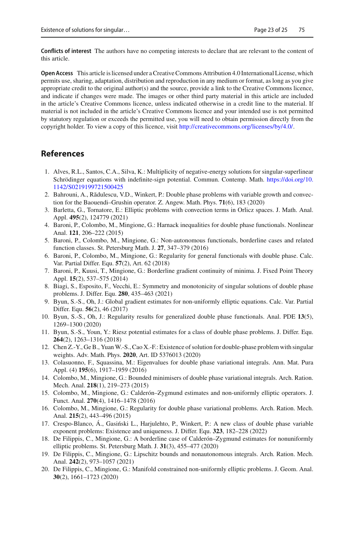**Conflicts of interest** The authors have no competing interests to declare that are relevant to the content of this article.

**Open Access** This article is licensed under a Creative Commons Attribution 4.0 International License, which permits use, sharing, adaptation, distribution and reproduction in any medium or format, as long as you give appropriate credit to the original author(s) and the source, provide a link to the Creative Commons licence, and indicate if changes were made. The images or other third party material in this article are included in the article's Creative Commons licence, unless indicated otherwise in a credit line to the material. If material is not included in the article's Creative Commons licence and your intended use is not permitted by statutory regulation or exceeds the permitted use, you will need to obtain permission directly from the copyright holder. To view a copy of this licence, visit [http://creativecommons.org/licenses/by/4.0/.](http://creativecommons.org/licenses/by/4.0/)

## **References**

- <span id="page-22-12"></span>1. Alves, R.L., Santos, C.A., Silva, K.: Multiplicity of negative-energy solutions for singular-superlinear Schrödinger equations with indefinite-sign potential. Commun. Contemp. Math. [https://doi.org/10.](https://doi.org/10.1142/S0219199721500425) [1142/S0219199721500425](https://doi.org/10.1142/S0219199721500425)
- <span id="page-22-13"></span>2. Bahrouni, A., Rădulescu, V.D., Winkert, P.: Double phase problems with variable growth and convection for the Baouendi–Grushin operator. Z. Angew. Math. Phys. **71**(6), 183 (2020)
- <span id="page-22-14"></span>3. Barletta, G., Tornatore, E.: Elliptic problems with convection terms in Orlicz spaces. J. Math. Anal. Appl. **495**(2), 124779 (2021)
- <span id="page-22-0"></span>4. Baroni, P., Colombo, M., Mingione, G.: Harnack inequalities for double phase functionals. Nonlinear Anal. **121**, 206–222 (2015)
- 5. Baroni, P., Colombo, M., Mingione, G.: Non-autonomous functionals, borderline cases and related function classes. St. Petersburg Math. J. **27**, 347–379 (2016)
- <span id="page-22-1"></span>6. Baroni, P., Colombo, M., Mingione, G.: Regularity for general functionals with double phase. Calc. Var. Partial Differ. Equ. **57**(2), Art. 62 (2018)
- <span id="page-22-2"></span>7. Baroni, P., Kuusi, T., Mingione, G.: Borderline gradient continuity of minima. J. Fixed Point Theory Appl. **15**(2), 537–575 (2014)
- <span id="page-22-15"></span>8. Biagi, S., Esposito, F., Vecchi, E.: Symmetry and monotonicity of singular solutions of double phase problems. J. Differ. Equ. **280**, 435–463 (2021)
- <span id="page-22-3"></span>9. Byun, S.-S., Oh, J.: Global gradient estimates for non-uniformly elliptic equations. Calc. Var. Partial Differ. Equ. **56**(2), 46 (2017)
- <span id="page-22-4"></span>10. Byun, S.-S., Oh, J.: Regularity results for generalized double phase functionals. Anal. PDE **13**(5), 1269–1300 (2020)
- <span id="page-22-5"></span>11. Byun, S.-S., Youn, Y.: Riesz potential estimates for a class of double phase problems. J. Differ. Equ. **264**(2), 1263–1316 (2018)
- <span id="page-22-10"></span>12. Chen Z.-Y., Ge B., Yuan W.-S., Cao X.-F.: Existence of solution for double-phase problem with singular weights. Adv. Math. Phys. **2020**, Art. ID 5376013 (2020)
- <span id="page-22-11"></span>13. Colasuonno, F., Squassina, M.: Eigenvalues for double phase variational integrals. Ann. Mat. Pura Appl. (4) **195**(6), 1917–1959 (2016)
- <span id="page-22-6"></span>14. Colombo, M., Mingione, G.: Bounded minimisers of double phase variational integrals. Arch. Ration. Mech. Anal. **218**(1), 219–273 (2015)
- 15. Colombo, M., Mingione, G.: Calderón–Zygmund estimates and non-uniformly elliptic operators. J. Funct. Anal. **270**(4), 1416–1478 (2016)
- <span id="page-22-7"></span>16. Colombo, M., Mingione, G.: Regularity for double phase variational problems. Arch. Ration. Mech. Anal. **215**(2), 443–496 (2015)
- <span id="page-22-16"></span>17. Crespo-Blanco, Á., Gasiński L., Harjulehto, P., Winkert, P.: A new class of double phase variable exponent problems: Existence and uniqueness. J. Differ. Equ. **323**, 182–228 (2022)
- <span id="page-22-8"></span>18. De Filippis, C., Mingione, G.: A borderline case of Calderón–Zygmund estimates for nonuniformly elliptic problems. St. Petersburg Math. J. **31**(3), 455–477 (2020)
- 19. De Filippis, C., Mingione, G.: Lipschitz bounds and nonautonomous integrals. Arch. Ration. Mech. Anal. **242**(2), 973–1057 (2021)
- <span id="page-22-9"></span>20. De Filippis, C., Mingione, G.: Manifold constrained non-uniformly elliptic problems. J. Geom. Anal. **30**(2), 1661–1723 (2020)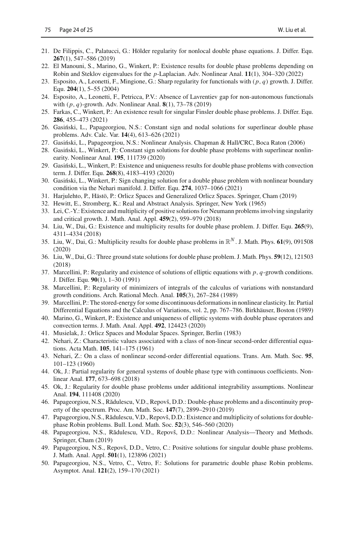- <span id="page-23-0"></span>21. De Filippis, C., Palatucci, G.: Hölder regularity for nonlocal double phase equations. J. Differ. Equ. **267**(1), 547–586 (2019)
- <span id="page-23-11"></span>22. El Manouni, S., Marino, G., Winkert, P.: Existence results for double phase problems depending on Robin and Steklov eigenvalues for the *p*-Laplacian. Adv. Nonlinear Anal. **11**(1), 304–320 (2022)
- <span id="page-23-1"></span>23. Esposito, A., Leonetti, F., Mingione, G.: Sharp regularity for functionals with (*p*, *q*) growth. J. Differ. Equ. **204**(1), 5–55 (2004)
- <span id="page-23-2"></span>24. Esposito, A., Leonetti, F., Petricca, P.V.: Absence of Lavrentiev gap for non-autonomous functionals with (*p*, *q*)-growth. Adv. Nonlinear Anal. **8**(1), 73–78 (2019)
- <span id="page-23-10"></span>25. Farkas, C., Winkert, P.: An existence result for singular Finsler double phase problems. J. Differ. Equ. **286**, 455–473 (2021)
- <span id="page-23-12"></span>26. Gasiński, L., Papageorgiou, N.S.: Constant sign and nodal solutions for superlinear double phase problems. Adv. Calc. Var. **14**(4), 613–626 (2021)
- <span id="page-23-25"></span>27. Gasiński, L., Papageorgiou, N.S.: Nonlinear Analysis. Chapman & Hall/CRC, Boca Raton (2006)
- <span id="page-23-13"></span>28. Gasiński, L., Winkert, P.: Constant sign solutions for double phase problems with superlinear nonlinearity. Nonlinear Anal. **195**, 111739 (2020)
- 29. Gasiński, L., Winkert, P.: Existence and uniqueness results for double phase problems with convection term. J. Differ. Equ. **268**(8), 4183–4193 (2020)
- <span id="page-23-14"></span>30. Gasiński, L., Winkert, P.: Sign changing solution for a double phase problem with nonlinear boundary condition via the Nehari manifold. J. Differ. Equ. **274**, 1037–1066 (2021)
- <span id="page-23-22"></span>31. Harjulehto, P., Hästö, P.: Orlicz Spaces and Generalized Orlicz Spaces. Springer, Cham (2019)
- <span id="page-23-24"></span>32. Hewitt, E., Stromberg, K.: Real and Abstract Analysis. Springer, New York (1965)
- <span id="page-23-20"></span>33. Lei, C.-Y.: Existence and multiplicity of positive solutions for Neumann problems involving singularity and critical growth. J. Math. Anal. Appl. **459**(2), 959–979 (2018)
- <span id="page-23-15"></span>34. Liu, W., Dai, G.: Existence and multiplicity results for double phase problem. J. Differ. Equ. **265**(9), 4311–4334 (2018)
- 35. Liu, W., Dai, G.: Multiplicity results for double phase problems in R*<sup>N</sup>* . J. Math. Phys. **61**(9), 091508 (2020)
- <span id="page-23-16"></span>36. Liu, W., Dai, G.: Three ground state solutions for double phase problem. J. Math. Phys. **59**(12), 121503 (2018)
- <span id="page-23-3"></span>37. Marcellini, P.: Regularity and existence of solutions of elliptic equations with *p*, *q*-growth conditions. J. Differ. Equ. **90**(1), 1–30 (1991)
- 38. Marcellini, P.: Regularity of minimizers of integrals of the calculus of variations with nonstandard growth conditions. Arch. Rational Mech. Anal. **105**(3), 267–284 (1989)
- <span id="page-23-4"></span>39. Marcellini, P.: The stored-energy for some discontinuous deformations in nonlinear elasticity. In: Partial Differential Equations and the Calculus of Variations, vol. 2, pp. 767–786. Birkhäuser, Boston (1989)
- <span id="page-23-17"></span>40. Marino, G., Winkert, P.: Existence and uniqueness of elliptic systems with double phase operators and convection terms. J. Math. Anal. Appl. **492**, 124423 (2020)
- <span id="page-23-23"></span>41. Musielak, J.: Orlicz Spaces and Modular Spaces. Springer, Berlin (1983)
- <span id="page-23-7"></span>42. Nehari, Z.: Characteristic values associated with a class of non-linear second-order differential equations. Acta Math. **105**, 141–175 (1961)
- <span id="page-23-8"></span>43. Nehari, Z.: On a class of nonlinear second-order differential equations. Trans. Am. Math. Soc. **95**, 101–123 (1960)
- <span id="page-23-5"></span>44. Ok, J.: Partial regularity for general systems of double phase type with continuous coefficients. Nonlinear Anal. **177**, 673–698 (2018)
- <span id="page-23-6"></span>45. Ok, J.: Regularity for double phase problems under additional integrability assumptions. Nonlinear Anal. **194**, 111408 (2020)
- <span id="page-23-21"></span>46. Papageorgiou, N.S., Rădulescu, V.D., Repovš, D.D.: Double-phase problems and a discontinuity property of the spectrum. Proc. Am. Math. Soc. **147**(7), 2899–2910 (2019)
- <span id="page-23-18"></span>47. Papageorgiou, N.S., Rădulescu, V.D., Repovš, D.D.: Existence and multiplicity of solutions for doublephase Robin problems. Bull. Lond. Math. Soc. **52**(3), 546–560 (2020)
- <span id="page-23-26"></span>48. Papageorgiou, N.S., Rădulescu, V.D., Repovš, D.D.: Nonlinear Analysis—Theory and Methods. Springer, Cham (2019)
- <span id="page-23-9"></span>49. Papageorgiou, N.S., Repovš, D.D., Vetro, C.: Positive solutions for singular double phase problems. J. Math. Anal. Appl. **501**(1), 123896 (2021)
- <span id="page-23-19"></span>50. Papageorgiou, N.S., Vetro, C., Vetro, F.: Solutions for parametric double phase Robin problems. Asymptot. Anal. **121**(2), 159–170 (2021)